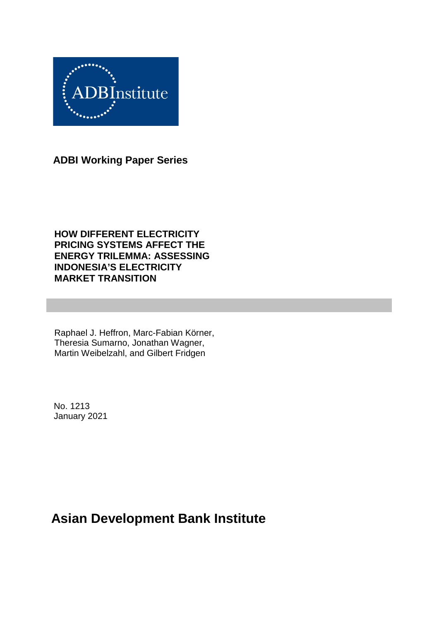

**ADBI Working Paper Series**

**HOW DIFFERENT ELECTRICITY PRICING SYSTEMS AFFECT THE ENERGY TRILEMMA: ASSESSING INDONESIA'S ELECTRICITY MARKET TRANSITION**

Raphael J. Heffron, Marc-Fabian Körner, Theresia Sumarno, Jonathan Wagner, Martin Weibelzahl, and Gilbert Fridgen

No. 1213 January 2021

# **Asian Development Bank Institute**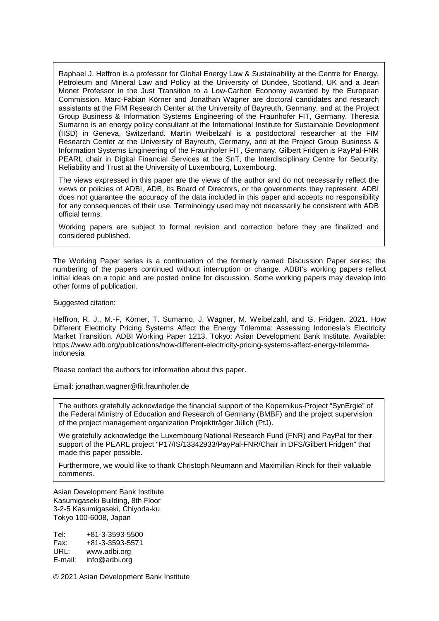Raphael J. Heffron is a professor for Global Energy Law & Sustainability at the Centre for Energy, Petroleum and Mineral Law and Policy at the University of Dundee, Scotland, UK and a Jean Monet Professor in the Just Transition to a Low-Carbon Economy awarded by the European Commission. Marc-Fabian Körner and Jonathan Wagner are doctoral candidates and research assistants at the FIM Research Center at the University of Bayreuth, Germany, and at the Project Group Business & Information Systems Engineering of the Fraunhofer FIT, Germany. Theresia Sumarno is an energy policy consultant at the International Institute for Sustainable Development (IISD) in Geneva, Switzerland. Martin Weibelzahl is a postdoctoral researcher at the FIM Research Center at the University of Bayreuth, Germany, and at the Project Group Business & Information Systems Engineering of the Fraunhofer FIT, Germany. Gilbert Fridgen is PayPal-FNR PEARL chair in Digital Financial Services at the SnT, the Interdisciplinary Centre for Security, Reliability and Trust at the University of Luxembourg, Luxembourg.

The views expressed in this paper are the views of the author and do not necessarily reflect the views or policies of ADBI, ADB, its Board of Directors, or the governments they represent. ADBI does not guarantee the accuracy of the data included in this paper and accepts no responsibility for any consequences of their use. Terminology used may not necessarily be consistent with ADB official terms.

Working papers are subject to formal revision and correction before they are finalized and considered published.

The Working Paper series is a continuation of the formerly named Discussion Paper series; the numbering of the papers continued without interruption or change. ADBI's working papers reflect initial ideas on a topic and are posted online for discussion. Some working papers may develop into other forms of publication.

Suggested citation:

Heffron, R. J., M.-F, Körner, T. Sumarno, J. Wagner, M. Weibelzahl, and G. Fridgen. 2021. How Different Electricity Pricing Systems Affect the Energy Trilemma: Assessing Indonesia's Electricity Market Transition. ADBI Working Paper 1213. Tokyo: Asian Development Bank Institute. Available: https://www.adb.org/publications/how-different-electricity-pricing-systems-affect-energy-trilemmaindonesia

Please contact the authors for information about this paper.

Email: jonathan.wagner@fit.fraunhofer.de

The authors gratefully acknowledge the financial support of the Kopernikus-Project "SynErgie" of the Federal Ministry of Education and Research of Germany (BMBF) and the project supervision of the project management organization Projektträger Jülich (PtJ).

We gratefully acknowledge the Luxembourg National Research Fund (FNR) and PayPal for their support of the PEARL project "P17/IS/13342933/PayPal-FNR/Chair in DFS/Gilbert Fridgen" that made this paper possible.

Furthermore, we would like to thank Christoph Neumann and Maximilian Rinck for their valuable comments.

Asian Development Bank Institute Kasumigaseki Building, 8th Floor 3-2-5 Kasumigaseki, Chiyoda-ku Tokyo 100-6008, Japan

Tel: +81-3-3593-5500 Fax: +81-3-3593-5571 URL: www.adbi.org E-mail: info@adbi.org

© 2021 Asian Development Bank Institute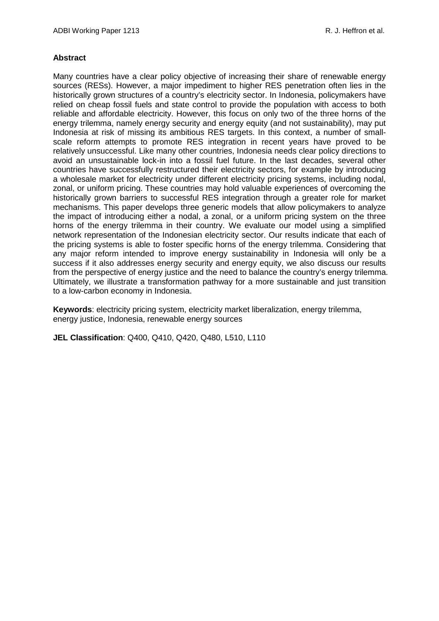### **Abstract**

Many countries have a clear policy objective of increasing their share of renewable energy sources (RESs). However, a major impediment to higher RES penetration often lies in the historically grown structures of a country's electricity sector. In Indonesia, policymakers have relied on cheap fossil fuels and state control to provide the population with access to both reliable and affordable electricity. However, this focus on only two of the three horns of the energy trilemma, namely energy security and energy equity (and not sustainability), may put Indonesia at risk of missing its ambitious RES targets. In this context, a number of smallscale reform attempts to promote RES integration in recent years have proved to be relatively unsuccessful. Like many other countries, Indonesia needs clear policy directions to avoid an unsustainable lock-in into a fossil fuel future. In the last decades, several other countries have successfully restructured their electricity sectors, for example by introducing a wholesale market for electricity under different electricity pricing systems, including nodal, zonal, or uniform pricing. These countries may hold valuable experiences of overcoming the historically grown barriers to successful RES integration through a greater role for market mechanisms. This paper develops three generic models that allow policymakers to analyze the impact of introducing either a nodal, a zonal, or a uniform pricing system on the three horns of the energy trilemma in their country. We evaluate our model using a simplified network representation of the Indonesian electricity sector. Our results indicate that each of the pricing systems is able to foster specific horns of the energy trilemma. Considering that any major reform intended to improve energy sustainability in Indonesia will only be a success if it also addresses energy security and energy equity, we also discuss our results from the perspective of energy justice and the need to balance the country's energy trilemma. Ultimately, we illustrate a transformation pathway for a more sustainable and just transition to a low-carbon economy in Indonesia.

**Keywords**: electricity pricing system, electricity market liberalization, energy trilemma, energy justice, Indonesia, renewable energy sources

**JEL Classification**: Q400, Q410, Q420, Q480, L510, L110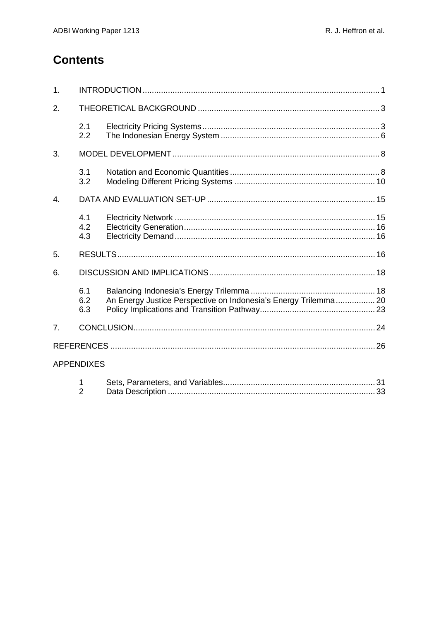# **Contents**

| 1.               |                     |                                                                 |  |  |  |  |  |
|------------------|---------------------|-----------------------------------------------------------------|--|--|--|--|--|
| 2.               |                     |                                                                 |  |  |  |  |  |
|                  | 2.1<br>2.2          |                                                                 |  |  |  |  |  |
| 3.               |                     |                                                                 |  |  |  |  |  |
|                  | 3.1<br>3.2          |                                                                 |  |  |  |  |  |
| $\overline{4}$ . |                     |                                                                 |  |  |  |  |  |
|                  | 4.1<br>4.2<br>4.3   |                                                                 |  |  |  |  |  |
| 5.               |                     |                                                                 |  |  |  |  |  |
| 6.               |                     |                                                                 |  |  |  |  |  |
|                  | 6.1<br>6.2<br>6.3   | An Energy Justice Perspective on Indonesia's Energy Trilemma 20 |  |  |  |  |  |
| $\overline{7}$ . |                     |                                                                 |  |  |  |  |  |
|                  |                     |                                                                 |  |  |  |  |  |
|                  | <b>APPENDIXES</b>   |                                                                 |  |  |  |  |  |
|                  | 1<br>$\overline{2}$ |                                                                 |  |  |  |  |  |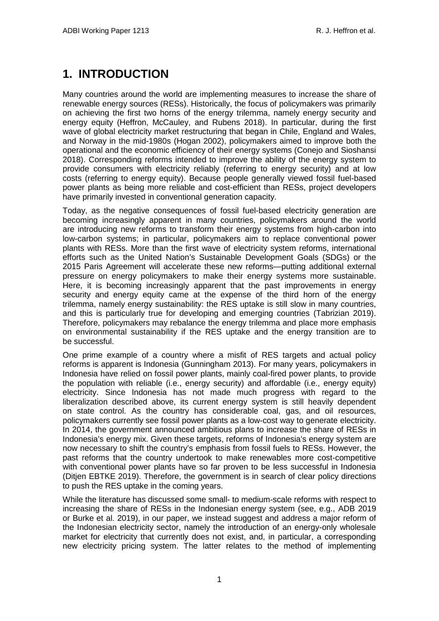# <span id="page-4-0"></span>**1. INTRODUCTION**

Many countries around the world are implementing measures to increase the share of renewable energy sources (RESs). Historically, the focus of policymakers was primarily on achieving the first two horns of the energy trilemma, namely energy security and energy equity (Heffron, McCauley, and Rubens 2018). In particular, during the first wave of global electricity market restructuring that began in Chile, England and Wales, and Norway in the mid-1980s (Hogan 2002), policymakers aimed to improve both the operational and the economic efficiency of their energy systems (Conejo and Sioshansi 2018). Corresponding reforms intended to improve the ability of the energy system to provide consumers with electricity reliably (referring to energy security) and at low costs (referring to energy equity). Because people generally viewed fossil fuel-based power plants as being more reliable and cost-efficient than RESs, project developers have primarily invested in conventional generation capacity.

Today, as the negative consequences of fossil fuel-based electricity generation are becoming increasingly apparent in many countries, policymakers around the world are introducing new reforms to transform their energy systems from high-carbon into low-carbon systems; in particular, policymakers aim to replace conventional power plants with RESs. More than the first wave of electricity system reforms, international efforts such as the United Nation's Sustainable Development Goals (SDGs) or the 2015 Paris Agreement will accelerate these new reforms—putting additional external pressure on energy policymakers to make their energy systems more sustainable. Here, it is becoming increasingly apparent that the past improvements in energy security and energy equity came at the expense of the third horn of the energy trilemma, namely energy sustainability: the RES uptake is still slow in many countries, and this is particularly true for developing and emerging countries (Tabrizian 2019). Therefore, policymakers may rebalance the energy trilemma and place more emphasis on environmental sustainability if the RES uptake and the energy transition are to be successful.

One prime example of a country where a misfit of RES targets and actual policy reforms is apparent is Indonesia (Gunningham 2013). For many years, policymakers in Indonesia have relied on fossil power plants, mainly coal-fired power plants, to provide the population with reliable (i.e., energy security) and affordable (i.e., energy equity) electricity. Since Indonesia has not made much progress with regard to the liberalization described above, its current energy system is still heavily dependent on state control. As the country has considerable coal, gas, and oil resources, policymakers currently see fossil power plants as a low-cost way to generate electricity. In 2014, the government announced ambitious plans to increase the share of RESs in Indonesia's energy mix. Given these targets, reforms of Indonesia's energy system are now necessary to shift the country's emphasis from fossil fuels to RESs. However, the past reforms that the country undertook to make renewables more cost-competitive with conventional power plants have so far proven to be less successful in Indonesia (Ditjen EBTKE 2019). Therefore, the government is in search of clear policy directions to push the RES uptake in the coming years.

While the literature has discussed some small- to medium-scale reforms with respect to increasing the share of RESs in the Indonesian energy system (see, e.g., ADB 2019 or Burke et al. 2019), in our paper, we instead suggest and address a major reform of the Indonesian electricity sector, namely the introduction of an energy-only wholesale market for electricity that currently does not exist, and, in particular, a corresponding new electricity pricing system. The latter relates to the method of implementing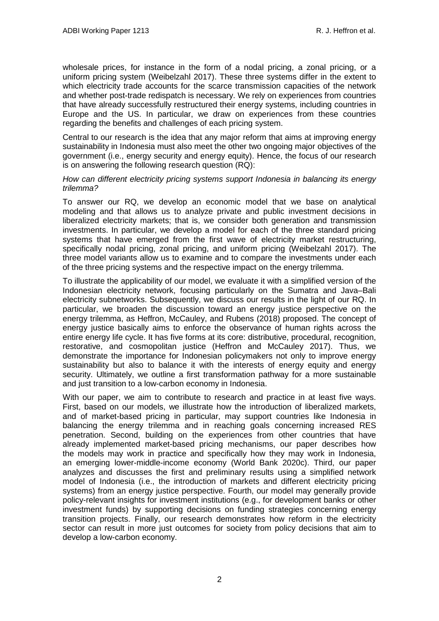wholesale prices, for instance in the form of a nodal pricing, a zonal pricing, or a uniform pricing system (Weibelzahl 2017). These three systems differ in the extent to which electricity trade accounts for the scarce transmission capacities of the network and whether post-trade redispatch is necessary. We rely on experiences from countries that have already successfully restructured their energy systems, including countries in Europe and the US. In particular, we draw on experiences from these countries regarding the benefits and challenges of each pricing system.

Central to our research is the idea that any major reform that aims at improving energy sustainability in Indonesia must also meet the other two ongoing major objectives of the government (i.e., energy security and energy equity). Hence, the focus of our research is on answering the following research question (RQ):

#### *How can different electricity pricing systems support Indonesia in balancing its energy trilemma?*

To answer our RQ, we develop an economic model that we base on analytical modeling and that allows us to analyze private and public investment decisions in liberalized electricity markets; that is, we consider both generation and transmission investments. In particular, we develop a model for each of the three standard pricing systems that have emerged from the first wave of electricity market restructuring, specifically nodal pricing, zonal pricing, and uniform pricing (Weibelzahl 2017). The three model variants allow us to examine and to compare the investments under each of the three pricing systems and the respective impact on the energy trilemma.

To illustrate the applicability of our model, we evaluate it with a simplified version of the Indonesian electricity network, focusing particularly on the Sumatra and Java–Bali electricity subnetworks. Subsequently, we discuss our results in the light of our RQ. In particular, we broaden the discussion toward an energy justice perspective on the energy trilemma, as Heffron, McCauley, and Rubens (2018) proposed. The concept of energy justice basically aims to enforce the observance of human rights across the entire energy life cycle. It has five forms at its core: distributive, procedural, recognition, restorative, and cosmopolitan justice (Heffron and McCauley 2017). Thus, we demonstrate the importance for Indonesian policymakers not only to improve energy sustainability but also to balance it with the interests of energy equity and energy security. Ultimately, we outline a first transformation pathway for a more sustainable and just transition to a low-carbon economy in Indonesia.

With our paper, we aim to contribute to research and practice in at least five ways. First, based on our models, we illustrate how the introduction of liberalized markets, and of market-based pricing in particular, may support countries like Indonesia in balancing the energy trilemma and in reaching goals concerning increased RES penetration. Second, building on the experiences from other countries that have already implemented market-based pricing mechanisms, our paper describes how the models may work in practice and specifically how they may work in Indonesia, an emerging lower-middle-income economy (World Bank 2020c). Third, our paper analyzes and discusses the first and preliminary results using a simplified network model of Indonesia (i.e., the introduction of markets and different electricity pricing systems) from an energy justice perspective. Fourth, our model may generally provide policy-relevant insights for investment institutions (e.g., for development banks or other investment funds) by supporting decisions on funding strategies concerning energy transition projects. Finally, our research demonstrates how reform in the electricity sector can result in more just outcomes for society from policy decisions that aim to develop a low-carbon economy.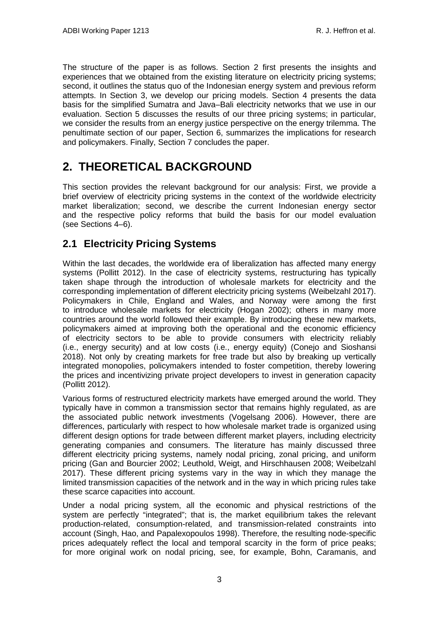The structure of the paper is as follows. Section 2 first presents the insights and experiences that we obtained from the existing literature on electricity pricing systems; second, it outlines the status quo of the Indonesian energy system and previous reform attempts. In Section 3, we develop our pricing models. Section 4 presents the data basis for the simplified Sumatra and Java–Bali electricity networks that we use in our evaluation. Section 5 discusses the results of our three pricing systems; in particular, we consider the results from an energy justice perspective on the energy trilemma. The penultimate section of our paper, Section 6, summarizes the implications for research and policymakers. Finally, Section 7 concludes the paper.

# <span id="page-6-0"></span>**2. THEORETICAL BACKGROUND**

This section provides the relevant background for our analysis: First, we provide a brief overview of electricity pricing systems in the context of the worldwide electricity market liberalization; second, we describe the current Indonesian energy sector and the respective policy reforms that build the basis for our model evaluation (see Sections 4–6).

## <span id="page-6-1"></span>**2.1 Electricity Pricing Systems**

Within the last decades, the worldwide era of liberalization has affected many energy systems (Pollitt 2012). In the case of electricity systems, restructuring has typically taken shape through the introduction of wholesale markets for electricity and the corresponding implementation of different electricity pricing systems (Weibelzahl 2017). Policymakers in Chile, England and Wales, and Norway were among the first to introduce wholesale markets for electricity (Hogan 2002); others in many more countries around the world followed their example. By introducing these new markets, policymakers aimed at improving both the operational and the economic efficiency of electricity sectors to be able to provide consumers with electricity reliably (i.e., energy security) and at low costs (i.e., energy equity) (Conejo and Sioshansi 2018). Not only by creating markets for free trade but also by breaking up vertically integrated monopolies, policymakers intended to foster competition, thereby lowering the prices and incentivizing private project developers to invest in generation capacity (Pollitt 2012).

Various forms of restructured electricity markets have emerged around the world. They typically have in common a transmission sector that remains highly regulated, as are the associated public network investments (Vogelsang 2006). However, there are differences, particularly with respect to how wholesale market trade is organized using different design options for trade between different market players, including electricity generating companies and consumers. The literature has mainly discussed three different electricity pricing systems, namely nodal pricing, zonal pricing, and uniform pricing (Gan and Bourcier 2002; Leuthold, Weigt, and Hirschhausen 2008; Weibelzahl 2017). These different pricing systems vary in the way in which they manage the limited transmission capacities of the network and in the way in which pricing rules take these scarce capacities into account.

Under a nodal pricing system, all the economic and physical restrictions of the system are perfectly "integrated"; that is, the market equilibrium takes the relevant production-related, consumption-related, and transmission-related constraints into account (Singh, Hao, and Papalexopoulos 1998). Therefore, the resulting node-specific prices adequately reflect the local and temporal scarcity in the form of price peaks; for more original work on nodal pricing, see, for example, Bohn, Caramanis, and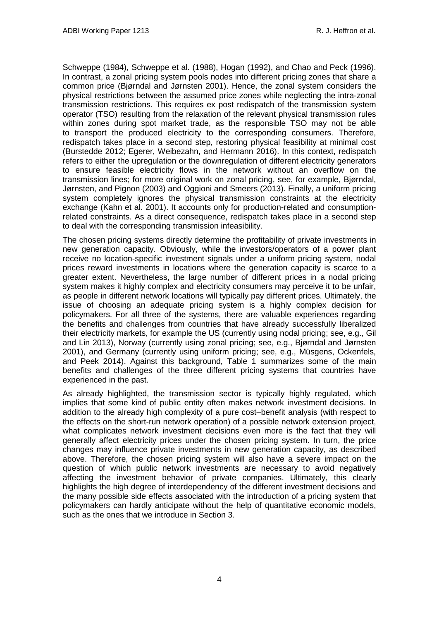Schweppe (1984), Schweppe et al. (1988), Hogan (1992), and Chao and Peck (1996). In contrast, a zonal pricing system pools nodes into different pricing zones that share a common price (Bjørndal and Jørnsten 2001). Hence, the zonal system considers the physical restrictions between the assumed price zones while neglecting the intra-zonal transmission restrictions. This requires ex post redispatch of the transmission system operator (TSO) resulting from the relaxation of the relevant physical transmission rules within zones during spot market trade, as the responsible TSO may not be able to transport the produced electricity to the corresponding consumers. Therefore, redispatch takes place in a second step, restoring physical feasibility at minimal cost (Burstedde 2012; Egerer, Weibezahn, and Hermann 2016). In this context, redispatch refers to either the upregulation or the downregulation of different electricity generators to ensure feasible electricity flows in the network without an overflow on the transmission lines; for more original work on zonal pricing, see, for example, Bjørndal, Jørnsten, and Pignon (2003) and Oggioni and Smeers (2013). Finally, a uniform pricing system completely ignores the physical transmission constraints at the electricity exchange (Kahn et al. 2001). It accounts only for production-related and consumptionrelated constraints. As a direct consequence, redispatch takes place in a second step to deal with the corresponding transmission infeasibility.

The chosen pricing systems directly determine the profitability of private investments in new generation capacity. Obviously, while the investors/operators of a power plant receive no location-specific investment signals under a uniform pricing system, nodal prices reward investments in locations where the generation capacity is scarce to a greater extent. Nevertheless, the large number of different prices in a nodal pricing system makes it highly complex and electricity consumers may perceive it to be unfair, as people in different network locations will typically pay different prices. Ultimately, the issue of choosing an adequate pricing system is a highly complex decision for policymakers. For all three of the systems, there are valuable experiences regarding the benefits and challenges from countries that have already successfully liberalized their electricity markets, for example the US (currently using nodal pricing; see, e.g., Gil and Lin 2013), Norway (currently using zonal pricing; see, e.g., Bjørndal and Jørnsten 2001), and Germany (currently using uniform pricing; see, e.g., Müsgens, Ockenfels, and Peek 2014). Against this background, Table 1 summarizes some of the main benefits and challenges of the three different pricing systems that countries have experienced in the past.

As already highlighted, the transmission sector is typically highly regulated, which implies that some kind of public entity often makes network investment decisions. In addition to the already high complexity of a pure cost–benefit analysis (with respect to the effects on the short-run network operation) of a possible network extension project, what complicates network investment decisions even more is the fact that they will generally affect electricity prices under the chosen pricing system. In turn, the price changes may influence private investments in new generation capacity, as described above. Therefore, the chosen pricing system will also have a severe impact on the question of which public network investments are necessary to avoid negatively affecting the investment behavior of private companies. Ultimately, this clearly highlights the high degree of interdependency of the different investment decisions and the many possible side effects associated with the introduction of a pricing system that policymakers can hardly anticipate without the help of quantitative economic models, such as the ones that we introduce in Section 3.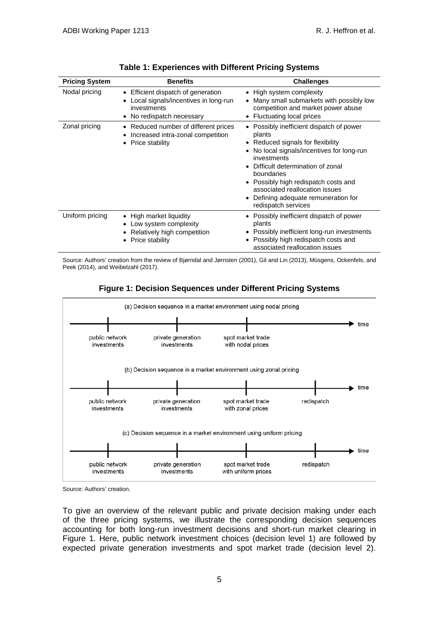| <b>Pricing System</b> | <b>Benefits</b>                                                                                                                   | <b>Challenges</b>                                                                                                                                                                                                                                                                                                                           |
|-----------------------|-----------------------------------------------------------------------------------------------------------------------------------|---------------------------------------------------------------------------------------------------------------------------------------------------------------------------------------------------------------------------------------------------------------------------------------------------------------------------------------------|
| Nodal pricing         | • Efficient dispatch of generation<br>Local signals/incentives in long-run<br>investments<br>No redispatch necessary<br>$\bullet$ | • High system complexity<br>Many small submarkets with possibly low<br>competition and market power abuse<br>• Fluctuating local prices                                                                                                                                                                                                     |
| Zonal pricing         | Reduced number of different prices<br>٠<br>Increased intra-zonal competition<br>Price stability                                   | • Possibly inefficient dispatch of power<br>plants<br>• Reduced signals for flexibility<br>No local signals/incentives for long-run<br>investments<br>Difficult determination of zonal<br>boundaries<br>• Possibly high redispatch costs and<br>associated reallocation issues<br>Defining adequate remuneration for<br>redispatch services |
| Uniform pricing       | • High market liquidity<br>Low system complexity<br>Relatively high competition<br>Price stability<br>$\bullet$                   | • Possibly inefficient dispatch of power<br>plants<br>• Possibly inefficient long-run investments<br>• Possibly high redispatch costs and<br>associated reallocation issues                                                                                                                                                                 |

**Table 1: Experiences with Different Pricing Systems** 

Source: Authors' creation from the review of Bjørndal and Jørnsten (2001), Gil and Lin (2013), Müsgens, Ockenfels, and Peek (2014), and Weibelzahl (2017).





Source: Authors' creation.

To give an overview of the relevant public and private decision making under each of the three pricing systems, we illustrate the corresponding decision sequences accounting for both long-run investment decisions and short-run market clearing in Figure 1. Here, public network investment choices (decision level 1) are followed by expected private generation investments and spot market trade (decision level 2).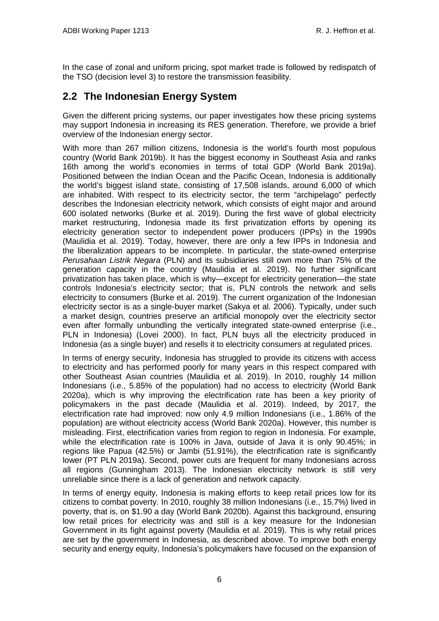In the case of zonal and uniform pricing, spot market trade is followed by redispatch of the TSO (decision level 3) to restore the transmission feasibility.

# <span id="page-9-0"></span>**2.2 The Indonesian Energy System**

Given the different pricing systems, our paper investigates how these pricing systems may support Indonesia in increasing its RES generation. Therefore, we provide a brief overview of the Indonesian energy sector.

With more than 267 million citizens, Indonesia is the world's fourth most populous country (World Bank 2019b). It has the biggest economy in Southeast Asia and ranks 16th among the world's economies in terms of total GDP (World Bank 2019a). Positioned between the Indian Ocean and the Pacific Ocean, Indonesia is additionally the world's biggest island state, consisting of 17,508 islands, around 6,000 of which are inhabited. With respect to its electricity sector, the term "archipelago" perfectly describes the Indonesian electricity network, which consists of eight major and around 600 isolated networks (Burke et al. 2019). During the first wave of global electricity market restructuring, Indonesia made its first privatization efforts by opening its electricity generation sector to independent power producers (IPPs) in the 1990s (Maulidia et al. 2019). Today, however, there are only a few IPPs in Indonesia and the liberalization appears to be incomplete. In particular, the state-owned enterprise *Perusahaan Listrik Negara* (PLN) and its subsidiaries still own more than 75% of the generation capacity in the country (Maulidia et al. 2019). No further significant privatization has taken place, which is why—except for electricity generation—the state controls Indonesia's electricity sector; that is, PLN controls the network and sells electricity to consumers (Burke et al. 2019). The current organization of the Indonesian electricity sector is as a single-buyer market (Sakya et al. 2006). Typically, under such a market design, countries preserve an artificial monopoly over the electricity sector even after formally unbundling the vertically integrated state-owned enterprise (i.e., PLN in Indonesia) (Lovei 2000). In fact, PLN buys all the electricity produced in Indonesia (as a single buyer) and resells it to electricity consumers at regulated prices.

In terms of energy security, Indonesia has struggled to provide its citizens with access to electricity and has performed poorly for many years in this respect compared with other Southeast Asian countries (Maulidia et al. 2019). In 2010, roughly 14 million Indonesians (i.e., 5.85% of the population) had no access to electricity (World Bank 2020a), which is why improving the electrification rate has been a key priority of policymakers in the past decade (Maulidia et al. 2019). Indeed, by 2017, the electrification rate had improved: now only 4.9 million Indonesians (i.e., 1.86% of the population) are without electricity access (World Bank 2020a). However, this number is misleading. First, electrification varies from region to region in Indonesia. For example, while the electrification rate is 100% in Java, outside of Java it is only 90.45%; in regions like Papua (42.5%) or Jambi (51.91%), the electrification rate is significantly lower (PT PLN 2019a). Second, power cuts are frequent for many Indonesians across all regions (Gunningham 2013). The Indonesian electricity network is still very unreliable since there is a lack of generation and network capacity.

In terms of energy equity, Indonesia is making efforts to keep retail prices low for its citizens to combat poverty. In 2010, roughly 38 million Indonesians (i.e., 15.7%) lived in poverty, that is, on \$1.90 a day (World Bank 2020b). Against this background, ensuring low retail prices for electricity was and still is a key measure for the Indonesian Government in its fight against poverty (Maulidia et al. 2019). This is why retail prices are set by the government in Indonesia, as described above. To improve both energy security and energy equity, Indonesia's policymakers have focused on the expansion of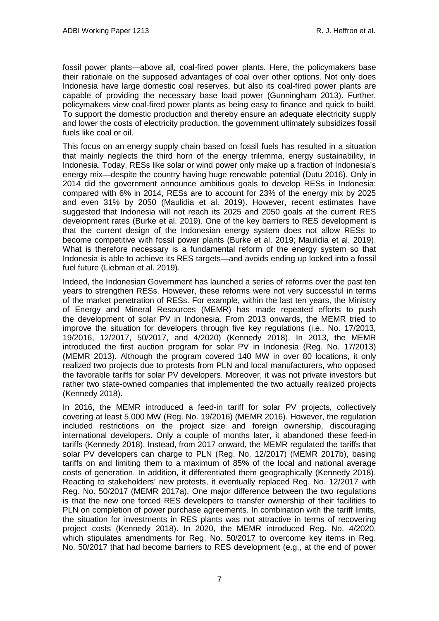fossil power plants—above all, coal-fired power plants. Here, the policymakers base their rationale on the supposed advantages of coal over other options. Not only does Indonesia have large domestic coal reserves, but also its coal-fired power plants are capable of providing the necessary base load power (Gunningham 2013). Further, policymakers view coal-fired power plants as being easy to finance and quick to build. To support the domestic production and thereby ensure an adequate electricity supply and lower the costs of electricity production, the government ultimately subsidizes fossil fuels like coal or oil.

This focus on an energy supply chain based on fossil fuels has resulted in a situation that mainly neglects the third horn of the energy trilemma, energy sustainability, in Indonesia. Today, RESs like solar or wind power only make up a fraction of Indonesia's energy mix—despite the country having huge renewable potential (Dutu 2016). Only in 2014 did the government announce ambitious goals to develop RESs in Indonesia: compared with 6% in 2014, RESs are to account for 23% of the energy mix by 2025 and even 31% by 2050 (Maulidia et al. 2019). However, recent estimates have suggested that Indonesia will not reach its 2025 and 2050 goals at the current RES development rates (Burke et al. 2019). One of the key barriers to RES development is that the current design of the Indonesian energy system does not allow RESs to become competitive with fossil power plants (Burke et al. 2019; Maulidia et al. 2019). What is therefore necessary is a fundamental reform of the energy system so that Indonesia is able to achieve its RES targets—and avoids ending up locked into a fossil fuel future (Liebman et al. 2019).

Indeed, the Indonesian Government has launched a series of reforms over the past ten years to strengthen RESs. However, these reforms were not very successful in terms of the market penetration of RESs. For example, within the last ten years, the Ministry of Energy and Mineral Resources (MEMR) has made repeated efforts to push the development of solar PV in Indonesia. From 2013 onwards, the MEMR tried to improve the situation for developers through five key regulations (i.e., No. 17/2013, 19/2016, 12/2017, 50/2017, and 4/2020) (Kennedy 2018). In 2013, the MEMR introduced the first auction program for solar PV in Indonesia (Reg. No. 17/2013) (MEMR 2013). Although the program covered 140 MW in over 80 locations, it only realized two projects due to protests from PLN and local manufacturers, who opposed the favorable tariffs for solar PV developers. Moreover, it was not private investors but rather two state-owned companies that implemented the two actually realized projects (Kennedy 2018).

In 2016, the MEMR introduced a feed-in tariff for solar PV projects, collectively covering at least 5,000 MW (Reg. No. 19/2016) (MEMR 2016). However, the regulation included restrictions on the project size and foreign ownership, discouraging international developers. Only a couple of months later, it abandoned these feed-in tariffs (Kennedy 2018). Instead, from 2017 onward, the MEMR regulated the tariffs that solar PV developers can charge to PLN (Reg. No. 12/2017) (MEMR 2017b), basing tariffs on and limiting them to a maximum of 85% of the local and national average costs of generation. In addition, it differentiated them geographically (Kennedy 2018). Reacting to stakeholders' new protests, it eventually replaced Reg. No. 12/2017 with Reg. No. 50/2017 (MEMR 2017a). One major difference between the two regulations is that the new one forced RES developers to transfer ownership of their facilities to PLN on completion of power purchase agreements. In combination with the tariff limits, the situation for investments in RES plants was not attractive in terms of recovering project costs (Kennedy 2018). In 2020, the MEMR introduced Reg. No. 4/2020, which stipulates amendments for Reg. No. 50/2017 to overcome key items in Reg. No. 50/2017 that had become barriers to RES development (e.g., at the end of power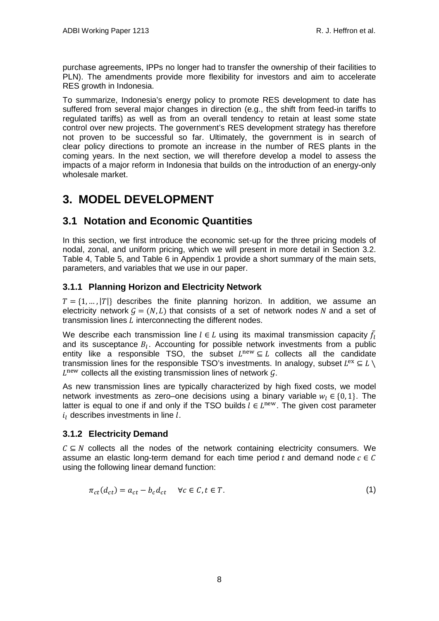purchase agreements, IPPs no longer had to transfer the ownership of their facilities to PLN). The amendments provide more flexibility for investors and aim to accelerate RES growth in Indonesia.

To summarize, Indonesia's energy policy to promote RES development to date has suffered from several major changes in direction (e.g., the shift from feed-in tariffs to regulated tariffs) as well as from an overall tendency to retain at least some state control over new projects. The government's RES development strategy has therefore not proven to be successful so far. Ultimately, the government is in search of clear policy directions to promote an increase in the number of RES plants in the coming years. In the next section, we will therefore develop a model to assess the impacts of a major reform in Indonesia that builds on the introduction of an energy-only wholesale market.

# <span id="page-11-0"></span>**3. MODEL DEVELOPMENT**

## <span id="page-11-1"></span>**3.1 Notation and Economic Quantities**

In this section, we first introduce the economic set-up for the three pricing models of nodal, zonal, and uniform pricing, which we will present in more detail in Section 3.2. [Table 4,](#page-34-1) [Table 5,](#page-34-2) and [Table 6](#page-35-0) in Appendix 1 provide a short summary of the main sets, parameters, and variables that we use in our paper.

### **3.1.1 Planning Horizon and Electricity Network**

 $T = \{1, ..., |T|\}$  describes the finite planning horizon. In addition, we assume an electricity network  $G = (N, L)$  that consists of a set of network nodes N and a set of transmission lines  $L$  interconnecting the different nodes.

We describe each transmission line  $l \in L$  using its maximal transmission capacity  $\bar{f}_l$ and its susceptance  $B_l$ . Accounting for possible network investments from a public entity like a responsible TSO, the subset  $L^{\text{new}} \subseteq L$  collects all the candidate transmission lines for the responsible TSO's investments. In analogy, subset  $L^{ex} \subseteq L \setminus$  $L<sup>new</sup>$  collects all the existing transmission lines of network  $G$ .

As new transmission lines are typically characterized by high fixed costs, we model network investments as zero–one decisions using a binary variable  $w_l \in \{0, 1\}$ . The latter is equal to one if and only if the TSO builds  $l \in L^{new}$ . The given cost parameter  $i_l$  describes investments in line  $l$ .

### **3.1.2 Electricity Demand**

 $C \subseteq N$  collects all the nodes of the network containing electricity consumers. We assume an elastic long-term demand for each time period t and demand node  $c \in C$ using the following linear demand function:

$$
\pi_{ct}(d_{ct}) = a_{ct} - b_c d_{ct} \quad \forall c \in C, t \in T.
$$
\n
$$
(1)
$$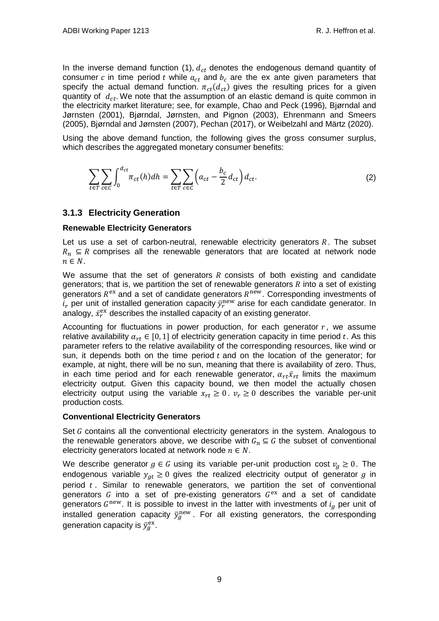In the inverse demand function (1),  $d_{ct}$  denotes the endogenous demand quantity of consumer c in time period t while  $a_{ct}$  and  $b_c$  are the ex ante given parameters that specify the actual demand function.  $\pi_{ct}(d_{ct})$  gives the resulting prices for a given quantity of  $d_{ct}$ . We note that the assumption of an elastic demand is quite common in the electricity market literature; see, for example, Chao and Peck (1996), Bjørndal and Jørnsten (2001), Bjørndal, Jørnsten, and Pignon (2003), Ehrenmann and Smeers (2005), Bjørndal and Jørnsten (2007), Pechan (2017), or Weibelzahl and Märtz (2020).

Using the above demand function, the following gives the gross consumer surplus, which describes the aggregated monetary consumer benefits:

$$
\sum_{t \in T} \sum_{c \in C} \int_0^{d_{ct}} \pi_{ct}(h) dh = \sum_{t \in T} \sum_{c \in C} \left( a_{ct} - \frac{b_c}{2} d_{ct} \right) d_{ct}.
$$
 (2)

### **3.1.3 Electricity Generation**

#### **Renewable Electricity Generators**

Let us use a set of carbon-neutral, renewable electricity generators  $R$ . The subset  $R_n \subseteq R$  comprises all the renewable generators that are located at network node  $n \in N$ .

We assume that the set of generators  *consists of both existing and candidate* generators; that is, we partition the set of renewable generators  *into a set of existing* generators  $R<sup>ex</sup>$  and a set of candidate generators  $R<sup>new</sup>$ . Corresponding investments of  $i_r$  per unit of installed generation capacity  $\bar{y}_r^{\text{new}}$  arise for each candidate generator. In analogy,  $\bar{x}_r^\text{ex}$  describes the installed capacity of an existing generator.

Accounting for fluctuations in power production, for each generator  $r$ , we assume relative availability  $\alpha_{rt} \in [0, 1]$  of electricity generation capacity in time period t. As this parameter refers to the relative availability of the corresponding resources, like wind or sun, it depends both on the time period  $t$  and on the location of the generator; for example, at night, there will be no sun, meaning that there is availability of zero. Thus, in each time period and for each renewable generator,  $\alpha_{rt}\bar{x}_{rt}$  limits the maximum electricity output. Given this capacity bound, we then model the actually chosen electricity output using the variable  $x_{rt} \geq 0$ .  $v_r \geq 0$  describes the variable per-unit production costs.

### **Conventional Electricity Generators**

Set  $G$  contains all the conventional electricity generators in the system. Analogous to the renewable generators above, we describe with  $G_n \subseteq G$  the subset of conventional electricity generators located at network node  $n \in N$ .

We describe generator  $g \in G$  using its variable per-unit production cost  $v_a \geq 0$ . The endogenous variable  $y_{at} \geq 0$  gives the realized electricity output of generator g in period  $t$ . Similar to renewable generators, we partition the set of conventional generators  $G$  into a set of pre-existing generators  $G<sup>ex</sup>$  and a set of candidate generators  $G<sup>new</sup>$ . It is possible to invest in the latter with investments of  $i_a$  per unit of installed generation capacity  $\bar{y}^{\text{new}}_g$ . For all existing generators, the corresponding generation capacity is  $\bar{y}_g^\text{ex}.$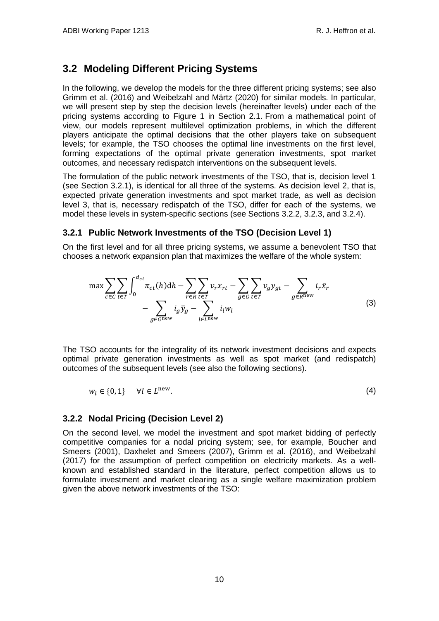## <span id="page-13-0"></span>**3.2 Modeling Different Pricing Systems**

In the following, we develop the models for the three different pricing systems; see also Grimm et al. (2016) and Weibelzahl and Märtz (2020) for similar models. In particular, we will present step by step the decision levels (hereinafter levels) under each of the pricing systems according to Figure 1 in Section 2.1. From a mathematical point of view, our models represent multilevel optimization problems, in which the different players anticipate the optimal decisions that the other players take on subsequent levels; for example, the TSO chooses the optimal line investments on the first level, forming expectations of the optimal private generation investments, spot market outcomes, and necessary redispatch interventions on the subsequent levels.

The formulation of the public network investments of the TSO, that is, decision level 1 (see Section 3.2.1), is identical for all three of the systems. As decision level 2, that is, expected private generation investments and spot market trade, as well as decision level 3, that is, necessary redispatch of the TSO, differ for each of the systems, we model these levels in system-specific sections (see Sections 3.2.2, 3.2.3, and 3.2.4).

### **3.2.1 Public Network Investments of the TSO (Decision Level 1)**

On the first level and for all three pricing systems, we assume a benevolent TSO that chooses a network expansion plan that maximizes the welfare of the whole system:

$$
\max \sum_{c \in C} \sum_{t \in T} \int_0^{d_{ct}} \pi_{ct}(h) dh - \sum_{r \in R} \sum_{t \in T} v_r x_{rt} - \sum_{g \in G} \sum_{t \in T} v_g y_{gt} - \sum_{g \in R^{\text{new}}} i_r \bar{x}_r
$$
  
- 
$$
\sum_{g \in G^{\text{new}}} i_g \bar{y}_g - \sum_{l \in L^{\text{new}}} i_l w_l
$$
 (3)

The TSO accounts for the integrality of its network investment decisions and expects optimal private generation investments as well as spot market (and redispatch) outcomes of the subsequent levels (see also the following sections).

$$
w_l \in \{0, 1\} \qquad \forall l \in L^{\text{new}}.\tag{4}
$$

### **3.2.2 Nodal Pricing (Decision Level 2)**

On the second level, we model the investment and spot market bidding of perfectly competitive companies for a nodal pricing system; see, for example, Boucher and Smeers (2001), Daxhelet and Smeers (2007), Grimm et al. (2016), and Weibelzahl (2017) for the assumption of perfect competition on electricity markets. As a wellknown and established standard in the literature, perfect competition allows us to formulate investment and market clearing as a single welfare maximization problem given the above network investments of the TSO: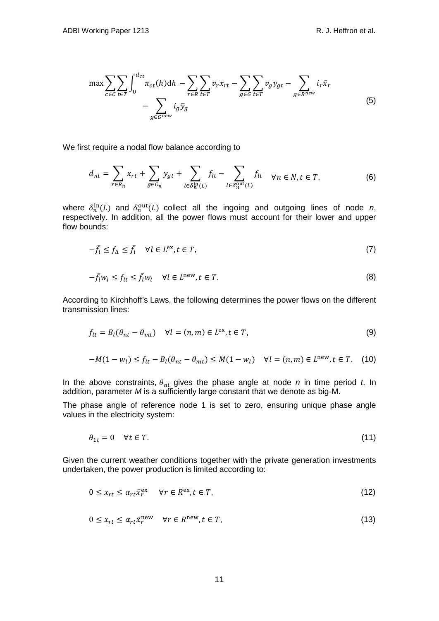$$
\max \sum_{c \in C} \sum_{t \in T} \int_{0}^{d_{ct}} \pi_{ct}(h) dh - \sum_{r \in R} \sum_{t \in T} v_{r} x_{rt} - \sum_{g \in G} \sum_{t \in T} v_{g} y_{gt} - \sum_{g \in R^{new}} i_{r} \bar{x}_{r}
$$
  
- 
$$
\sum_{g \in G^{new}} i_{g} \bar{y}_{g}
$$
 (5)

We first require a nodal flow balance according to

$$
d_{nt} = \sum_{r \in R_n} x_{rt} + \sum_{g \in G_n} y_{gt} + \sum_{l \in \delta_n^{\text{in}}(L)} f_{lt} - \sum_{l \in \delta_n^{\text{out}}(L)} f_{lt} \quad \forall n \in N, t \in T,
$$
 (6)

where  $\delta_n^{\text{in}}(L)$  and  $\delta_n^{\text{out}}(L)$  collect all the ingoing and outgoing lines of node *n*, respectively. In addition, all the power flows must account for their lower and upper flow bounds:

$$
-\bar{f}_l \le f_{lt} \le \bar{f}_l \quad \forall l \in L^{\text{ex}}, t \in T,
$$
\n
$$
(7)
$$

$$
-\bar{f}_l w_l \le f_{lt} \le \bar{f}_l w_l \quad \forall l \in L^{\text{new}}, t \in T. \tag{8}
$$

According to Kirchhoff's Laws, the following determines the power flows on the different transmission lines:

$$
f_{lt} = B_l(\theta_{nt} - \theta_{mt}) \quad \forall l = (n, m) \in L^{\text{ex}}, t \in T,
$$
\n(9)

$$
-M(1-w_l) \le f_{lt} - B_l(\theta_{nt} - \theta_{mt}) \le M(1-w_l) \quad \forall l = (n,m) \in L^{\text{new}}, t \in T. \tag{10}
$$

In the above constraints,  $\theta_{nt}$  gives the phase angle at node *n* in time period *t*. In addition, parameter *M* is a sufficiently large constant that we denote as big-M.

The phase angle of reference node 1 is set to zero, ensuring unique phase angle values in the electricity system:

$$
\theta_{1t} = 0 \quad \forall t \in T. \tag{11}
$$

Given the current weather conditions together with the private generation investments undertaken, the power production is limited according to:

$$
0 \le x_{rt} \le \alpha_{rt} \bar{x}_r^{\text{ex}} \qquad \forall r \in R^{\text{ex}}, t \in T,
$$
\n
$$
(12)
$$

$$
0 \le x_{rt} \le \alpha_{rt} \bar{x}_r^{\text{new}} \quad \forall r \in R^{\text{new}}, t \in T,
$$
\n
$$
(13)
$$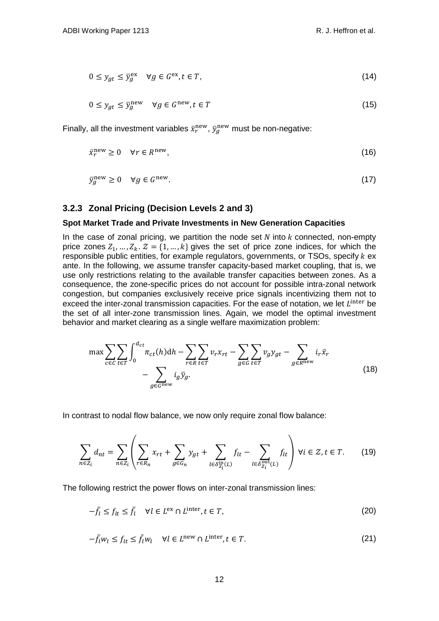$$
0 \le y_{gt} \le \bar{y}_g^{\text{ex}} \quad \forall g \in G^{\text{ex}}, t \in T,
$$
\n
$$
(14)
$$

$$
0 \le y_{gt} \le \bar{y}_g^{\text{new}} \quad \forall g \in G^{\text{new}}, t \in T \tag{15}
$$

Finally, all the investment variables  $\bar{x}_r^{\rm new}$ ,  $\bar{y}_g^{\rm new}$  must be non-negative:

$$
\bar{x}_r^{\text{new}} \ge 0 \quad \forall r \in R^{\text{new}},\tag{16}
$$

$$
\bar{y}_g^{\text{new}} \ge 0 \quad \forall g \in G^{\text{new}}.\tag{17}
$$

### **3.2.3 Zonal Pricing (Decision Levels 2 and 3)**

#### **Spot Market Trade and Private Investments in New Generation Capacities**

In the case of zonal pricing, we partition the node set  $N$  into  $k$  connected, non-empty price zones  $Z_1, ..., Z_k$ .  $Z = \{1, ..., k\}$  gives the set of price zone indices, for which the responsible public entities, for example regulators, governments, or TSOs, specify  $k$  ex ante. In the following, we assume transfer capacity-based market coupling, that is, we use only restrictions relating to the available transfer capacities between zones. As a consequence, the zone-specific prices do not account for possible intra-zonal network congestion, but companies exclusively receive price signals incentivizing them not to exceed the inter-zonal transmission capacities. For the ease of notation, we let  $L^{inter}$  be the set of all inter-zone transmission lines. Again, we model the optimal investment behavior and market clearing as a single welfare maximization problem:

$$
\max \sum_{c \in C} \sum_{t \in T} \int_0^{d_{ct}} \pi_{ct}(h) dh - \sum_{r \in R} \sum_{t \in T} v_r x_{rt} - \sum_{g \in G} \sum_{t \in T} v_g y_{gt} - \sum_{g \in R^{\text{new}}} i_r \bar{x}_r
$$
\n
$$
- \sum_{g \in G^{\text{new}}} i_g \bar{y}_g. \tag{18}
$$

In contrast to nodal flow balance, we now only require zonal flow balance:

$$
\sum_{n \in \mathbb{Z}_i} d_{nt} = \sum_{n \in \mathbb{Z}_i} \left( \sum_{r \in R_n} x_{rt} + \sum_{g \in G_n} y_{gt} + \sum_{l \in \delta_{\mathbb{Z}_i}^{\text{in}}(L)} f_{lt} - \sum_{l \in \delta_{\mathbb{Z}_i}^{\text{out}}(L)} f_{lt} \right) \forall i \in \mathbb{Z}, t \in T. \tag{19}
$$

 $\Delta$ 

The following restrict the power flows on inter-zonal transmission lines:

$$
-\bar{f}_l \le f_{lt} \le \bar{f}_l \quad \forall l \in L^{\text{ex}} \cap L^{\text{inter}}, t \in T,
$$
\n
$$
(20)
$$

$$
-\bar{f}_l w_l \le f_{lt} \le \bar{f}_l w_l \quad \forall l \in L^{\text{new}} \cap L^{\text{inter}}, t \in T.
$$
\n(21)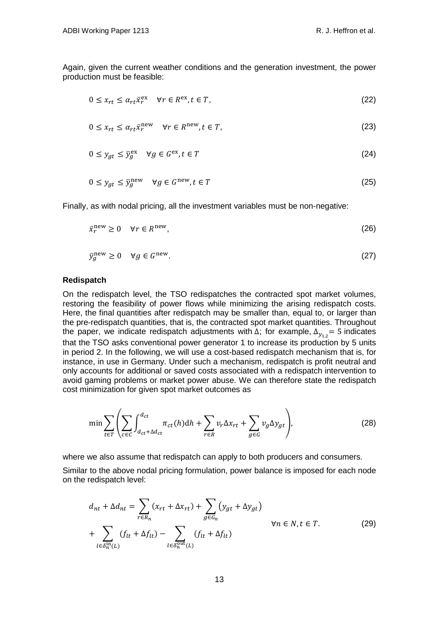Again, given the current weather conditions and the generation investment, the power production must be feasible:

$$
0 \le x_{rt} \le \alpha_{rt} \bar{x}_r^{\text{ex}} \quad \forall r \in R^{\text{ex}}, t \in T,
$$
\n
$$
(22)
$$

$$
0 \le x_{rt} \le \alpha_{rt} \bar{x}_r^{\text{new}} \quad \forall r \in R^{\text{new}}, t \in T,
$$
\n
$$
(23)
$$

$$
0 \le y_{gt} \le \bar{y}_g^{\text{ex}} \quad \forall g \in G^{\text{ex}}, t \in T \tag{24}
$$

$$
0 \le y_{gt} \le \bar{y}_g^{\text{new}} \quad \forall g \in G^{\text{new}}, t \in T \tag{25}
$$

Finally, as with nodal pricing, all the investment variables must be non-negative:

$$
\bar{x}_r^{\text{new}} \ge 0 \quad \forall r \in R^{\text{new}},\tag{26}
$$

$$
\bar{y}_g^{\text{new}} \ge 0 \quad \forall g \in G^{\text{new}}.\tag{27}
$$

#### **Redispatch**

On the redispatch level, the TSO redispatches the contracted spot market volumes, restoring the feasibility of power flows while minimizing the arising redispatch costs. Here, the final quantities after redispatch may be smaller than, equal to, or larger than the pre-redispatch quantities, that is, the contracted spot market quantities. Throughout the paper, we indicate redispatch adjustments with  $\Delta$ ; for example,  $\Delta_{\gamma_{1,2}}= 5$  indicates that the TSO asks conventional power generator 1 to increase its production by 5 units in period 2. In the following, we will use a cost-based redispatch mechanism that is, for instance, in use in Germany. Under such a mechanism, redispatch is profit neutral and only accounts for additional or saved costs associated with a redispatch intervention to avoid gaming problems or market power abuse. We can therefore state the redispatch cost minimization for given spot market outcomes as

$$
\min \sum_{t \in T} \left( \sum_{c \in C} \int_{d_{ct} + \Delta d_{ct}}^{d_{ct}} \pi_{ct}(h) dh + \sum_{r \in R} v_r \Delta x_{rt} + \sum_{g \in G} v_g \Delta y_{gt} \right),\tag{28}
$$

where we also assume that redispatch can apply to both producers and consumers.

Similar to the above nodal pricing formulation, power balance is imposed for each node on the redispatch level:

$$
d_{nt} + \Delta d_{nt} = \sum_{r \in R_n} (x_{rt} + \Delta x_{rt}) + \sum_{g \in G_n} (y_{gt} + \Delta y_{gt})
$$
  
+ 
$$
\sum_{l \in \delta_n^{\text{in}}(L)} (f_{lt} + \Delta f_{lt}) - \sum_{l \in \delta_n^{\text{out}}(L)} (f_{lt} + \Delta f_{lt})
$$
  

$$
\forall n \in N, t \in T.
$$
 (29)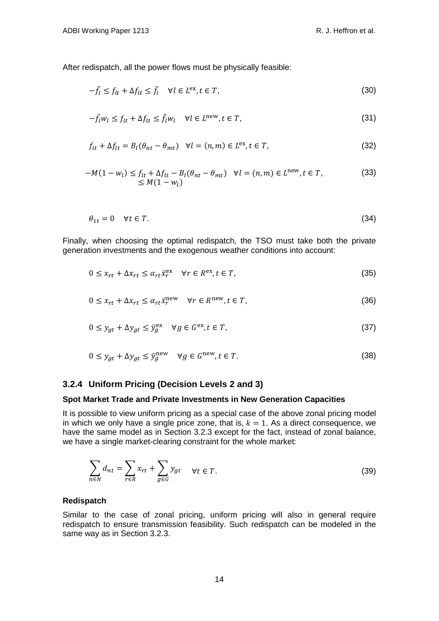After redispatch, all the power flows must be physically feasible:

$$
-\bar{f}_l \le f_{lt} + \Delta f_{lt} \le \bar{f}_l \quad \forall l \in L^{\text{ex}}, t \in T,
$$
\n(30)

$$
-\bar{f}_l w_l \le f_{lt} + \Delta f_{lt} \le \bar{f}_l w_l \quad \forall l \in L^{\text{new}}, t \in T,
$$
\n(31)

$$
f_{lt} + \Delta f_{lt} = B_l(\theta_{nt} - \theta_{mt}) \quad \forall l = (n, m) \in L^{\text{ex}}, t \in T,
$$
\n(32)

$$
-M(1 - w_l) \le f_{lt} + \Delta f_{lt} - B_l(\theta_{nt} - \theta_{mt}) \quad \forall l = (n, m) \in L^{\text{new}}, t \in T,
$$
  
\n
$$
\le M(1 - w_l)
$$
\n(33)

$$
\theta_{1t} = 0 \quad \forall t \in T. \tag{34}
$$

Finally, when choosing the optimal redispatch, the TSO must take both the private generation investments and the exogenous weather conditions into account:

$$
0 \le x_{rt} + \Delta x_{rt} \le \alpha_{rt} \bar{x}_r^{\text{ex}} \quad \forall r \in R^{\text{ex}}, t \in T,
$$
\n(35)

$$
0 \le x_{rt} + \Delta x_{rt} \le \alpha_{rt} \bar{x}_r^{\text{new}} \quad \forall r \in R^{\text{new}}, t \in T,
$$
\n(36)

$$
0 \le y_{gt} + \Delta y_{gt} \le \bar{y}_g^{\text{ex}} \quad \forall g \in G^{\text{ex}}, t \in T,
$$
\n(37)

$$
0 \le y_{gt} + \Delta y_{gt} \le \bar{y}_g^{\text{new}} \quad \forall g \in G^{\text{new}}, t \in T. \tag{38}
$$

#### **3.2.4 Uniform Pricing (Decision Levels 2 and 3)**

#### **Spot Market Trade and Private Investments in New Generation Capacities**

It is possible to view uniform pricing as a special case of the above zonal pricing model in which we only have a single price zone, that is,  $k = 1$ . As a direct consequence, we have the same model as in Section 3.2.3 except for the fact, instead of zonal balance, we have a single market-clearing constraint for the whole market:

$$
\sum_{n \in N} d_{nt} = \sum_{r \in R} x_{rt} + \sum_{g \in G} y_{gt} \quad \forall t \in T.
$$
\n(39)

#### **Redispatch**

Similar to the case of zonal pricing, uniform pricing will also in general require redispatch to ensure transmission feasibility. Such redispatch can be modeled in the same way as in Section 3.2.3.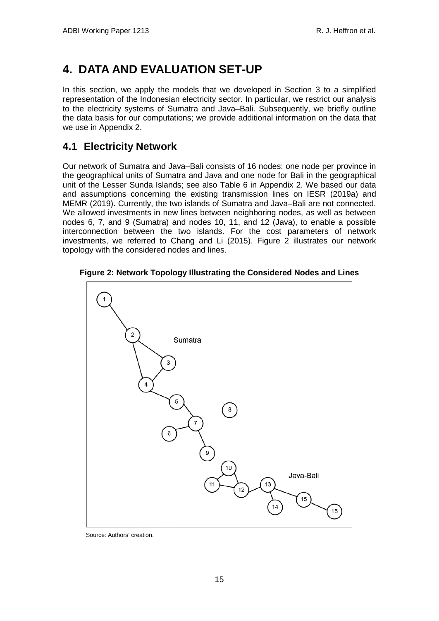# <span id="page-18-0"></span>**4. DATA AND EVALUATION SET-UP**

In this section, we apply the models that we developed in Section 3 to a simplified representation of the Indonesian electricity sector. In particular, we restrict our analysis to the electricity systems of Sumatra and Java–Bali. Subsequently, we briefly outline the data basis for our computations; we provide additional information on the data that we use in Appendix 2.

## <span id="page-18-1"></span>**4.1 Electricity Network**

Our network of Sumatra and Java–Bali consists of 16 nodes: one node per province in the geographical units of Sumatra and Java and one node for Bali in the geographical unit of the Lesser Sunda Islands; see also Table 6 in Appendix 2. We based our data and assumptions concerning the existing transmission lines on IESR (2019a) and MEMR (2019). Currently, the two islands of Sumatra and Java–Bali are not connected. We allowed investments in new lines between neighboring nodes, as well as between nodes 6, 7, and 9 (Sumatra) and nodes 10, 11, and 12 (Java), to enable a possible interconnection between the two islands. For the cost parameters of network investments, we referred to Chang and Li (2015). Figure 2 illustrates our network topology with the considered nodes and lines.



**Figure 2: Network Topology Illustrating the Considered Nodes and Lines**

Source: Authors' creation.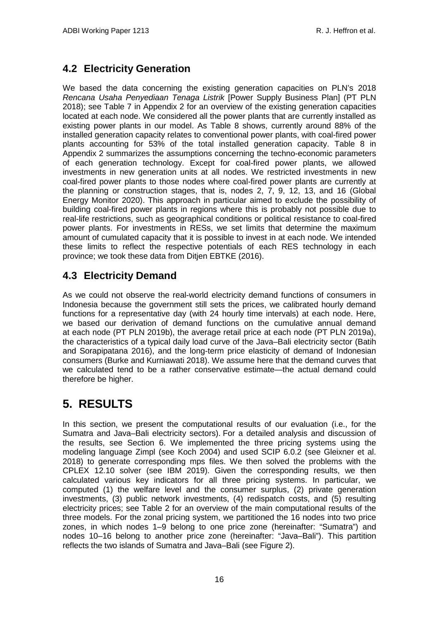## <span id="page-19-0"></span>**4.2 Electricity Generation**

We based the data concerning the existing generation capacities on PLN's 2018 *Rencana Usaha Penyediaan Tenaga Listrik* [Power Supply Business Plan] (PT PLN 2018); see Table 7 in Appendix 2 for an overview of the existing generation capacities located at each node. We considered all the power plants that are currently installed as existing power plants in our model. As [Table 8](#page-36-1) shows, currently around 88% of the installed generation capacity relates to conventional power plants, with coal-fired power plants accounting for 53% of the total installed generation capacity. Table 8 in Appendix 2 summarizes the assumptions concerning the techno-economic parameters of each generation technology. Except for coal-fired power plants, we allowed investments in new generation units at all nodes. We restricted investments in new coal-fired power plants to those nodes where coal-fired power plants are currently at the planning or construction stages, that is, nodes 2, 7, 9, 12, 13, and 16 (Global Energy Monitor 2020). This approach in particular aimed to exclude the possibility of building coal-fired power plants in regions where this is probably not possible due to real-life restrictions, such as geographical conditions or political resistance to coal-fired power plants. For investments in RESs, we set limits that determine the maximum amount of cumulated capacity that it is possible to invest in at each node. We intended these limits to reflect the respective potentials of each RES technology in each province; we took these data from Ditjen EBTKE (2016).

# <span id="page-19-1"></span>**4.3 Electricity Demand**

As we could not observe the real-world electricity demand functions of consumers in Indonesia because the government still sets the prices, we calibrated hourly demand functions for a representative day (with 24 hourly time intervals) at each node. Here, we based our derivation of demand functions on the cumulative annual demand at each node (PT PLN 2019b), the average retail price at each node (PT PLN 2019a), the characteristics of a typical daily load curve of the Java–Bali electricity sector (Batih and Sorapipatana 2016), and the long-term price elasticity of demand of Indonesian consumers (Burke and Kurniawati 2018). We assume here that the demand curves that we calculated tend to be a rather conservative estimate—the actual demand could therefore be higher.

# <span id="page-19-2"></span>**5. RESULTS**

In this section, we present the computational results of our evaluation (i.e., for the Sumatra and Java–Bali electricity sectors). For a detailed analysis and discussion of the results, see Section 6. We implemented the three pricing systems using the modeling language Zimpl (see Koch 2004) and used SCIP 6.0.2 (see Gleixner et al. 2018) to generate corresponding mps files. We then solved the problems with the CPLEX 12.10 solver (see IBM 2019). Given the corresponding results, we then calculated various key indicators for all three pricing systems. In particular, we computed (1) the welfare level and the consumer surplus, (2) private generation investments, (3) public network investments, (4) redispatch costs, and (5) resulting electricity prices; see Table 2 for an overview of the main computational results of the three models. For the zonal pricing system, we partitioned the 16 nodes into two price zones, in which nodes 1–9 belong to one price zone (hereinafter: "Sumatra") and nodes 10–16 belong to another price zone (hereinafter: "Java–Bali"). This partition reflects the two islands of Sumatra and Java–Bali (see Figure 2).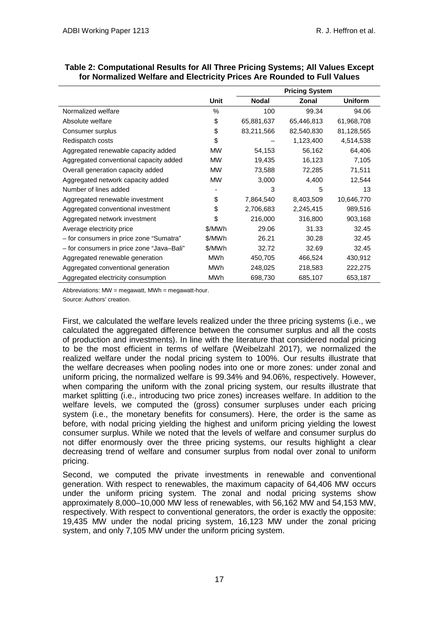|                                           |           | <b>Pricing System</b> |            |                |  |
|-------------------------------------------|-----------|-----------------------|------------|----------------|--|
|                                           | Unit      | <b>Nodal</b>          | Zonal      | <b>Uniform</b> |  |
| Normalized welfare                        | $\%$      | 100                   | 99.34      | 94.06          |  |
| Absolute welfare                          | \$        | 65,881,637            | 65,446,813 | 61,968,708     |  |
| Consumer surplus                          | \$        | 83,211,566            | 82,540,830 | 81,128,565     |  |
| Redispatch costs                          | \$        |                       | 1,123,400  | 4,514,538      |  |
| Aggregated renewable capacity added       | <b>MW</b> | 54,153                | 56,162     | 64,406         |  |
| Aggregated conventional capacity added    | <b>MW</b> | 19,435                | 16,123     | 7,105          |  |
| Overall generation capacity added         | <b>MW</b> | 73,588                | 72,285     | 71,511         |  |
| Aggregated network capacity added         | <b>MW</b> | 3,000                 | 4,400      | 12,544         |  |
| Number of lines added                     |           | 3                     | 5          | 13             |  |
| Aggregated renewable investment           | \$        | 7,864,540             | 8,403,509  | 10,646,770     |  |
| Aggregated conventional investment        | \$        | 2,706,683             | 2,245,415  | 989,516        |  |
| Aggregated network investment             | \$        | 216,000               | 316,800    | 903,168        |  |
| Average electricity price                 | \$/MWh    | 29.06                 | 31.33      | 32.45          |  |
| - for consumers in price zone "Sumatra"   | \$/MWh    | 26.21                 | 30.28      | 32.45          |  |
| - for consumers in price zone "Java-Bali" | \$/MWh    | 32.72                 | 32.69      | 32.45          |  |
| Aggregated renewable generation           | MWh       | 450,705               | 466,524    | 430,912        |  |
| Aggregated conventional generation        | MWh       | 248,025               | 218,583    | 222,275        |  |
| Aggregated electricity consumption        | MWh       | 698,730               | 685,107    | 653,187        |  |

| Table 2: Computational Results for All Three Pricing Systems; All Values Except |
|---------------------------------------------------------------------------------|
| for Normalized Welfare and Electricity Prices Are Rounded to Full Values        |

Abbreviations:  $MW =$  megawatt,  $MWh =$  megawatt-hour.

Source: Authors' creation.

First, we calculated the welfare levels realized under the three pricing systems (i.e., we calculated the aggregated difference between the consumer surplus and all the costs of production and investments). In line with the literature that considered nodal pricing to be the most efficient in terms of welfare (Weibelzahl 2017), we normalized the realized welfare under the nodal pricing system to 100%. Our results illustrate that the welfare decreases when pooling nodes into one or more zones: under zonal and uniform pricing, the normalized welfare is 99.34% and 94.06%, respectively. However, when comparing the uniform with the zonal pricing system, our results illustrate that market splitting (i.e., introducing two price zones) increases welfare. In addition to the welfare levels, we computed the (gross) consumer surpluses under each pricing system (i.e., the monetary benefits for consumers). Here, the order is the same as before, with nodal pricing yielding the highest and uniform pricing yielding the lowest consumer surplus. While we noted that the levels of welfare and consumer surplus do not differ enormously over the three pricing systems, our results highlight a clear decreasing trend of welfare and consumer surplus from nodal over zonal to uniform pricing.

Second, we computed the private investments in renewable and conventional generation. With respect to renewables, the maximum capacity of 64,406 MW occurs under the uniform pricing system. The zonal and nodal pricing systems show approximately 8,000–10,000 MW less of renewables, with 56,162 MW and 54,153 MW, respectively. With respect to conventional generators, the order is exactly the opposite: 19,435 MW under the nodal pricing system, 16,123 MW under the zonal pricing system, and only 7,105 MW under the uniform pricing system.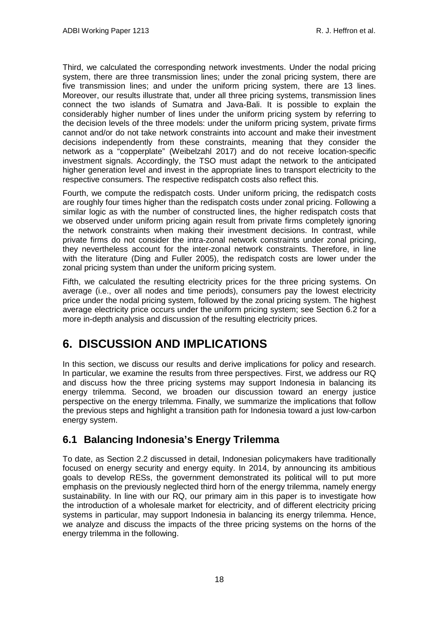Third, we calculated the corresponding network investments. Under the nodal pricing system, there are three transmission lines; under the zonal pricing system, there are five transmission lines; and under the uniform pricing system, there are 13 lines. Moreover, our results illustrate that, under all three pricing systems, transmission lines connect the two islands of Sumatra and Java-Bali. It is possible to explain the considerably higher number of lines under the uniform pricing system by referring to the decision levels of the three models: under the uniform pricing system, private firms cannot and/or do not take network constraints into account and make their investment decisions independently from these constraints, meaning that they consider the network as a "copperplate" (Weibelzahl 2017) and do not receive location-specific investment signals. Accordingly, the TSO must adapt the network to the anticipated higher generation level and invest in the appropriate lines to transport electricity to the respective consumers. The respective redispatch costs also reflect this.

Fourth, we compute the redispatch costs. Under uniform pricing, the redispatch costs are roughly four times higher than the redispatch costs under zonal pricing. Following a similar logic as with the number of constructed lines, the higher redispatch costs that we observed under uniform pricing again result from private firms completely ignoring the network constraints when making their investment decisions. In contrast, while private firms do not consider the intra-zonal network constraints under zonal pricing, they nevertheless account for the inter-zonal network constraints. Therefore, in line with the literature (Ding and Fuller 2005), the redispatch costs are lower under the zonal pricing system than under the uniform pricing system.

Fifth, we calculated the resulting electricity prices for the three pricing systems. On average (i.e., over all nodes and time periods), consumers pay the lowest electricity price under the nodal pricing system, followed by the zonal pricing system. The highest average electricity price occurs under the uniform pricing system; see Section 6.2 for a more in-depth analysis and discussion of the resulting electricity prices.

# <span id="page-21-0"></span>**6. DISCUSSION AND IMPLICATIONS**

In this section, we discuss our results and derive implications for policy and research. In particular, we examine the results from three perspectives. First, we address our RQ and discuss how the three pricing systems may support Indonesia in balancing its energy trilemma. Second, we broaden our discussion toward an energy justice perspective on the energy trilemma. Finally, we summarize the implications that follow the previous steps and highlight a transition path for Indonesia toward a just low-carbon energy system.

## <span id="page-21-1"></span>**6.1 Balancing Indonesia's Energy Trilemma**

To date, as Section 2.2 discussed in detail, Indonesian policymakers have traditionally focused on energy security and energy equity. In 2014, by announcing its ambitious goals to develop RESs, the government demonstrated its political will to put more emphasis on the previously neglected third horn of the energy trilemma, namely energy sustainability. In line with our RQ, our primary aim in this paper is to investigate how the introduction of a wholesale market for electricity, and of different electricity pricing systems in particular, may support Indonesia in balancing its energy trilemma. Hence, we analyze and discuss the impacts of the three pricing systems on the horns of the energy trilemma in the following.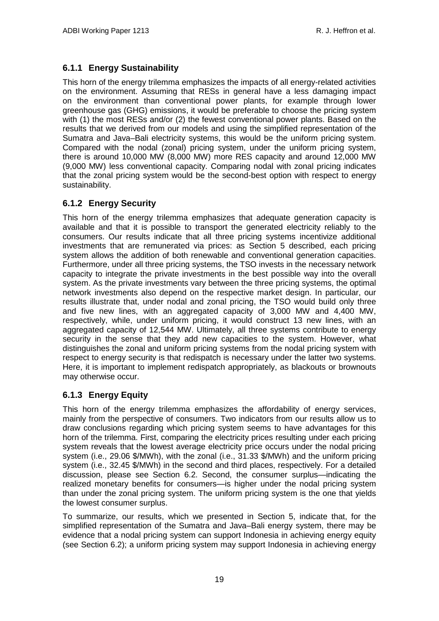## **6.1.1 Energy Sustainability**

This horn of the energy trilemma emphasizes the impacts of all energy-related activities on the environment. Assuming that RESs in general have a less damaging impact on the environment than conventional power plants, for example through lower greenhouse gas (GHG) emissions, it would be preferable to choose the pricing system with (1) the most RESs and/or (2) the fewest conventional power plants. Based on the results that we derived from our models and using the simplified representation of the Sumatra and Java–Bali electricity systems, this would be the uniform pricing system. Compared with the nodal (zonal) pricing system, under the uniform pricing system, there is around 10,000 MW (8,000 MW) more RES capacity and around 12,000 MW (9,000 MW) less conventional capacity. Comparing nodal with zonal pricing indicates that the zonal pricing system would be the second-best option with respect to energy sustainability.

## **6.1.2 Energy Security**

This horn of the energy trilemma emphasizes that adequate generation capacity is available and that it is possible to transport the generated electricity reliably to the consumers. Our results indicate that all three pricing systems incentivize additional investments that are remunerated via prices: as Section 5 described, each pricing system allows the addition of both renewable and conventional generation capacities. Furthermore, under all three pricing systems, the TSO invests in the necessary network capacity to integrate the private investments in the best possible way into the overall system. As the private investments vary between the three pricing systems, the optimal network investments also depend on the respective market design. In particular, our results illustrate that, under nodal and zonal pricing, the TSO would build only three and five new lines, with an aggregated capacity of 3,000 MW and 4,400 MW, respectively, while, under uniform pricing, it would construct 13 new lines, with an aggregated capacity of 12,544 MW. Ultimately, all three systems contribute to energy security in the sense that they add new capacities to the system. However, what distinguishes the zonal and uniform pricing systems from the nodal pricing system with respect to energy security is that redispatch is necessary under the latter two systems. Here, it is important to implement redispatch appropriately, as blackouts or brownouts may otherwise occur.

### **6.1.3 Energy Equity**

This horn of the energy trilemma emphasizes the affordability of energy services, mainly from the perspective of consumers. Two indicators from our results allow us to draw conclusions regarding which pricing system seems to have advantages for this horn of the trilemma. First, comparing the electricity prices resulting under each pricing system reveals that the lowest average electricity price occurs under the nodal pricing system (i.e., 29.06 \$/MWh), with the zonal (i.e., 31.33 \$/MWh) and the uniform pricing system (i.e., 32.45 \$/MWh) in the second and third places, respectively. For a detailed discussion, please see Section 6.2. Second, the consumer surplus—indicating the realized monetary benefits for consumers—is higher under the nodal pricing system than under the zonal pricing system. The uniform pricing system is the one that yields the lowest consumer surplus.

To summarize, our results, which we presented in Section 5, indicate that, for the simplified representation of the Sumatra and Java–Bali energy system, there may be evidence that a nodal pricing system can support Indonesia in achieving energy equity (see Section 6.2); a uniform pricing system may support Indonesia in achieving energy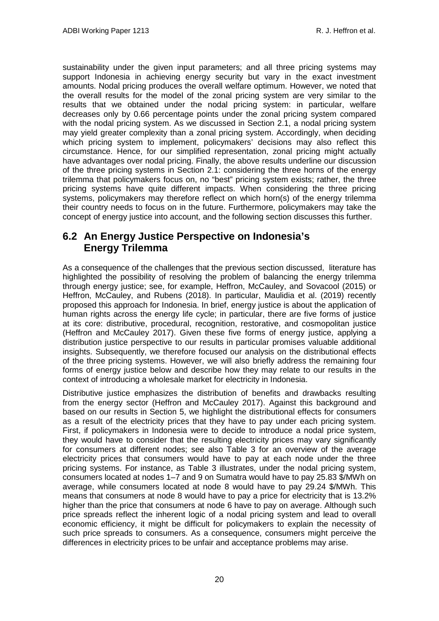sustainability under the given input parameters; and all three pricing systems may support Indonesia in achieving energy security but vary in the exact investment amounts. Nodal pricing produces the overall welfare optimum. However, we noted that the overall results for the model of the zonal pricing system are very similar to the results that we obtained under the nodal pricing system: in particular, welfare decreases only by 0.66 percentage points under the zonal pricing system compared with the nodal pricing system. As we discussed in Section 2.1, a nodal pricing system may yield greater complexity than a zonal pricing system. Accordingly, when deciding which pricing system to implement, policymakers' decisions may also reflect this circumstance. Hence, for our simplified representation, zonal pricing might actually have advantages over nodal pricing. Finally, the above results underline our discussion of the three pricing systems in Section 2.1: considering the three horns of the energy trilemma that policymakers focus on, no "best" pricing system exists; rather, the three pricing systems have quite different impacts. When considering the three pricing systems, policymakers may therefore reflect on which horn(s) of the energy trilemma their country needs to focus on in the future. Furthermore, policymakers may take the concept of energy justice into account, and the following section discusses this further.

## <span id="page-23-0"></span>**6.2 An Energy Justice Perspective on Indonesia's Energy Trilemma**

As a consequence of the challenges that the previous section discussed, literature has highlighted the possibility of resolving the problem of balancing the energy trilemma through energy justice; see, for example, Heffron, McCauley, and Sovacool (2015) or Heffron, McCauley, and Rubens (2018). In particular, Maulidia et al. (2019) recently proposed this approach for Indonesia. In brief, energy justice is about the application of human rights across the energy life cycle; in particular, there are five forms of justice at its core: distributive, procedural, recognition, restorative, and cosmopolitan justice (Heffron and McCauley 2017). Given these five forms of energy justice, applying a distribution justice perspective to our results in particular promises valuable additional insights. Subsequently, we therefore focused our analysis on the distributional effects of the three pricing systems. However, we will also briefly address the remaining four forms of energy justice below and describe how they may relate to our results in the context of introducing a wholesale market for electricity in Indonesia.

Distributive justice emphasizes the distribution of benefits and drawbacks resulting from the energy sector (Heffron and McCauley 2017). Against this background and based on our results in Section 5, we highlight the distributional effects for consumers as a result of the electricity prices that they have to pay under each pricing system. First, if policymakers in Indonesia were to decide to introduce a nodal price system, they would have to consider that the resulting electricity prices may vary significantly for consumers at different nodes; see also Table 3 for an overview of the average electricity prices that consumers would have to pay at each node under the three pricing systems. For instance, as Table 3 illustrates, under the nodal pricing system, consumers located at nodes 1–7 and 9 on Sumatra would have to pay 25.83 \$/MWh on average, while consumers located at node 8 would have to pay 29.24 \$/MWh. This means that consumers at node 8 would have to pay a price for electricity that is 13.2% higher than the price that consumers at node 6 have to pay on average. Although such price spreads reflect the inherent logic of a nodal pricing system and lead to overall economic efficiency, it might be difficult for policymakers to explain the necessity of such price spreads to consumers. As a consequence, consumers might perceive the differences in electricity prices to be unfair and acceptance problems may arise.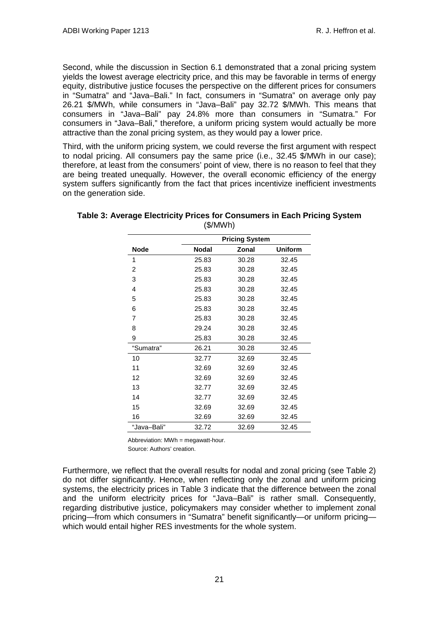Second, while the discussion in Section 6.1 demonstrated that a zonal pricing system yields the lowest average electricity price, and this may be favorable in terms of energy equity, distributive justice focuses the perspective on the different prices for consumers in "Sumatra" and "Java–Bali." In fact, consumers in "Sumatra" on average only pay 26.21 \$/MWh, while consumers in "Java–Bali" pay 32.72 \$/MWh. This means that consumers in "Java–Bali" pay 24.8% more than consumers in "Sumatra." For consumers in "Java–Bali," therefore, a uniform pricing system would actually be more attractive than the zonal pricing system, as they would pay a lower price.

Third, with the uniform pricing system, we could reverse the first argument with respect to nodal pricing. All consumers pay the same price (i.e., 32.45 \$/MWh in our case); therefore, at least from the consumers' point of view, there is no reason to feel that they are being treated unequally. However, the overall economic efficiency of the energy system suffers significantly from the fact that prices incentivize inefficient investments on the generation side.

|             | <b>Pricing System</b> |       |                |  |  |  |  |
|-------------|-----------------------|-------|----------------|--|--|--|--|
| <b>Node</b> | <b>Nodal</b>          | Zonal | <b>Uniform</b> |  |  |  |  |
| 1           | 25.83                 | 30.28 | 32.45          |  |  |  |  |
| 2           | 25.83                 | 30.28 | 32.45          |  |  |  |  |
| 3           | 25.83                 | 30.28 | 32.45          |  |  |  |  |
| 4           | 25.83                 | 30.28 | 32.45          |  |  |  |  |
| 5           | 25.83                 | 30.28 | 32.45          |  |  |  |  |
| 6           | 25.83                 | 30.28 | 32.45          |  |  |  |  |
| 7           | 25.83                 | 30.28 | 32.45          |  |  |  |  |
| 8           | 29.24                 | 30.28 | 32.45          |  |  |  |  |
| 9           | 25.83                 | 30.28 | 32.45          |  |  |  |  |
| "Sumatra"   | 26.21                 | 30.28 | 32.45          |  |  |  |  |
| 10          | 32.77                 | 32.69 | 32.45          |  |  |  |  |
| 11          | 32.69                 | 32.69 | 32.45          |  |  |  |  |
| 12          | 32.69                 | 32.69 | 32.45          |  |  |  |  |
| 13          | 32.77                 | 32.69 | 32.45          |  |  |  |  |
| 14          | 32.77                 | 32.69 | 32.45          |  |  |  |  |
| 15          | 32.69                 | 32.69 | 32.45          |  |  |  |  |
| 16          | 32.69                 | 32.69 | 32.45          |  |  |  |  |
| "Java–Bali" | 32.72                 | 32.69 | 32.45          |  |  |  |  |

### **Table 3: Average Electricity Prices for Consumers in Each Pricing System** (\$/MWh)

Abbreviation: MWh = megawatt-hour.

Source: Authors' creation.

Furthermore, we reflect that the overall results for nodal and zonal pricing (see Table 2) do not differ significantly. Hence, when reflecting only the zonal and uniform pricing systems, the electricity prices in Table 3 indicate that the difference between the zonal and the uniform electricity prices for "Java–Bali" is rather small. Consequently, regarding distributive justice, policymakers may consider whether to implement zonal pricing—from which consumers in "Sumatra" benefit significantly—or uniform pricing which would entail higher RES investments for the whole system.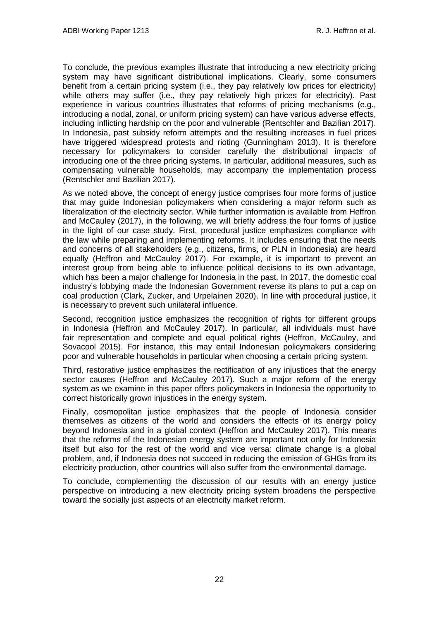To conclude, the previous examples illustrate that introducing a new electricity pricing system may have significant distributional implications. Clearly, some consumers benefit from a certain pricing system (i.e., they pay relatively low prices for electricity) while others may suffer (i.e., they pay relatively high prices for electricity). Past experience in various countries illustrates that reforms of pricing mechanisms (e.g., introducing a nodal, zonal, or uniform pricing system) can have various adverse effects, including inflicting hardship on the poor and vulnerable (Rentschler and Bazilian 2017). In Indonesia, past subsidy reform attempts and the resulting increases in fuel prices have triggered widespread protests and rioting (Gunningham 2013). It is therefore necessary for policymakers to consider carefully the distributional impacts of introducing one of the three pricing systems. In particular, additional measures, such as compensating vulnerable households, may accompany the implementation process (Rentschler and Bazilian 2017).

As we noted above, the concept of energy justice comprises four more forms of justice that may guide Indonesian policymakers when considering a major reform such as liberalization of the electricity sector. While further information is available from Heffron and McCauley (2017), in the following, we will briefly address the four forms of justice in the light of our case study. First, procedural justice emphasizes compliance with the law while preparing and implementing reforms. It includes ensuring that the needs and concerns of all stakeholders (e.g., citizens, firms, or PLN in Indonesia) are heard equally (Heffron and McCauley 2017). For example, it is important to prevent an interest group from being able to influence political decisions to its own advantage, which has been a major challenge for Indonesia in the past. In 2017, the domestic coal industry's lobbying made the Indonesian Government reverse its plans to put a cap on coal production (Clark, Zucker, and Urpelainen 2020). In line with procedural justice, it is necessary to prevent such unilateral influence.

Second, recognition justice emphasizes the recognition of rights for different groups in Indonesia (Heffron and McCauley 2017). In particular, all individuals must have fair representation and complete and equal political rights (Heffron, McCauley, and Sovacool 2015). For instance, this may entail Indonesian policymakers considering poor and vulnerable households in particular when choosing a certain pricing system.

Third, restorative justice emphasizes the rectification of any injustices that the energy sector causes (Heffron and McCauley 2017). Such a major reform of the energy system as we examine in this paper offers policymakers in Indonesia the opportunity to correct historically grown injustices in the energy system.

Finally, cosmopolitan justice emphasizes that the people of Indonesia consider themselves as citizens of the world and considers the effects of its energy policy beyond Indonesia and in a global context (Heffron and McCauley 2017). This means that the reforms of the Indonesian energy system are important not only for Indonesia itself but also for the rest of the world and vice versa: climate change is a global problem, and, if Indonesia does not succeed in reducing the emission of GHGs from its electricity production, other countries will also suffer from the environmental damage.

To conclude, complementing the discussion of our results with an energy justice perspective on introducing a new electricity pricing system broadens the perspective toward the socially just aspects of an electricity market reform.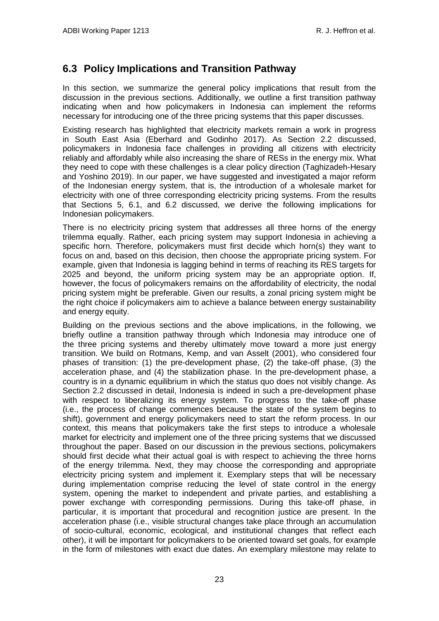## <span id="page-26-0"></span>**6.3 Policy Implications and Transition Pathway**

In this section, we summarize the general policy implications that result from the discussion in the previous sections. Additionally, we outline a first transition pathway indicating when and how policymakers in Indonesia can implement the reforms necessary for introducing one of the three pricing systems that this paper discusses.

Existing research has highlighted that electricity markets remain a work in progress in South East Asia (Eberhard and Godinho 2017). As Section 2.2 discussed, policymakers in Indonesia face challenges in providing all citizens with electricity reliably and affordably while also increasing the share of RESs in the energy mix. What they need to cope with these challenges is a clear policy direction (Taghizadeh-Hesary and Yoshino 2019). In our paper, we have suggested and investigated a major reform of the Indonesian energy system, that is, the introduction of a wholesale market for electricity with one of three corresponding electricity pricing systems. From the results that Sections 5, 6.1, and 6.2 discussed, we derive the following implications for Indonesian policymakers.

There is no electricity pricing system that addresses all three horns of the energy trilemma equally. Rather, each pricing system may support Indonesia in achieving a specific horn. Therefore, policymakers must first decide which horn(s) they want to focus on and, based on this decision, then choose the appropriate pricing system. For example, given that Indonesia is lagging behind in terms of reaching its RES targets for 2025 and beyond, the uniform pricing system may be an appropriate option. If, however, the focus of policymakers remains on the affordability of electricity, the nodal pricing system might be preferable. Given our results, a zonal pricing system might be the right choice if policymakers aim to achieve a balance between energy sustainability and energy equity.

Building on the previous sections and the above implications, in the following, we briefly outline a transition pathway through which Indonesia may introduce one of the three pricing systems and thereby ultimately move toward a more just energy transition. We build on Rotmans, Kemp, and van Asselt (2001), who considered four phases of transition: (1) the pre-development phase, (2) the take-off phase, (3) the acceleration phase, and (4) the stabilization phase. In the pre-development phase, a country is in a dynamic equilibrium in which the status quo does not visibly change. As Section 2.2 discussed in detail, Indonesia is indeed in such a pre-development phase with respect to liberalizing its energy system. To progress to the take-off phase (i.e., the process of change commences because the state of the system begins to shift), government and energy policymakers need to start the reform process. In our context, this means that policymakers take the first steps to introduce a wholesale market for electricity and implement one of the three pricing systems that we discussed throughout the paper. Based on our discussion in the previous sections, policymakers should first decide what their actual goal is with respect to achieving the three horns of the energy trilemma. Next, they may choose the corresponding and appropriate electricity pricing system and implement it. Exemplary steps that will be necessary during implementation comprise reducing the level of state control in the energy system, opening the market to independent and private parties, and establishing a power exchange with corresponding permissions. During this take-off phase, in particular, it is important that procedural and recognition justice are present. In the acceleration phase (i.e., visible structural changes take place through an accumulation of socio-cultural, economic, ecological, and institutional changes that reflect each other), it will be important for policymakers to be oriented toward set goals, for example in the form of milestones with exact due dates. An exemplary milestone may relate to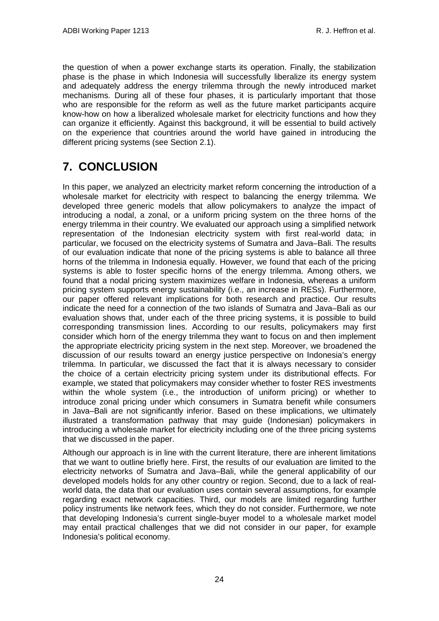the question of when a power exchange starts its operation. Finally, the stabilization phase is the phase in which Indonesia will successfully liberalize its energy system and adequately address the energy trilemma through the newly introduced market mechanisms. During all of these four phases, it is particularly important that those who are responsible for the reform as well as the future market participants acquire know-how on how a liberalized wholesale market for electricity functions and how they can organize it efficiently. Against this background, it will be essential to build actively on the experience that countries around the world have gained in introducing the different pricing systems (see Section 2.1).

# <span id="page-27-0"></span>**7. CONCLUSION**

In this paper, we analyzed an electricity market reform concerning the introduction of a wholesale market for electricity with respect to balancing the energy trilemma. We developed three generic models that allow policymakers to analyze the impact of introducing a nodal, a zonal, or a uniform pricing system on the three horns of the energy trilemma in their country. We evaluated our approach using a simplified network representation of the Indonesian electricity system with first real-world data; in particular, we focused on the electricity systems of Sumatra and Java–Bali. The results of our evaluation indicate that none of the pricing systems is able to balance all three horns of the trilemma in Indonesia equally. However, we found that each of the pricing systems is able to foster specific horns of the energy trilemma. Among others, we found that a nodal pricing system maximizes welfare in Indonesia, whereas a uniform pricing system supports energy sustainability (i.e., an increase in RESs). Furthermore, our paper offered relevant implications for both research and practice. Our results indicate the need for a connection of the two islands of Sumatra and Java–Bali as our evaluation shows that, under each of the three pricing systems, it is possible to build corresponding transmission lines. According to our results, policymakers may first consider which horn of the energy trilemma they want to focus on and then implement the appropriate electricity pricing system in the next step. Moreover, we broadened the discussion of our results toward an energy justice perspective on Indonesia's energy trilemma. In particular, we discussed the fact that it is always necessary to consider the choice of a certain electricity pricing system under its distributional effects. For example, we stated that policymakers may consider whether to foster RES investments within the whole system (i.e., the introduction of uniform pricing) or whether to introduce zonal pricing under which consumers in Sumatra benefit while consumers in Java–Bali are not significantly inferior. Based on these implications, we ultimately illustrated a transformation pathway that may guide (Indonesian) policymakers in introducing a wholesale market for electricity including one of the three pricing systems that we discussed in the paper.

Although our approach is in line with the current literature, there are inherent limitations that we want to outline briefly here. First, the results of our evaluation are limited to the electricity networks of Sumatra and Java–Bali, while the general applicability of our developed models holds for any other country or region. Second, due to a lack of realworld data, the data that our evaluation uses contain several assumptions, for example regarding exact network capacities. Third, our models are limited regarding further policy instruments like network fees, which they do not consider. Furthermore, we note that developing Indonesia's current single-buyer model to a wholesale market model may entail practical challenges that we did not consider in our paper, for example Indonesia's political economy.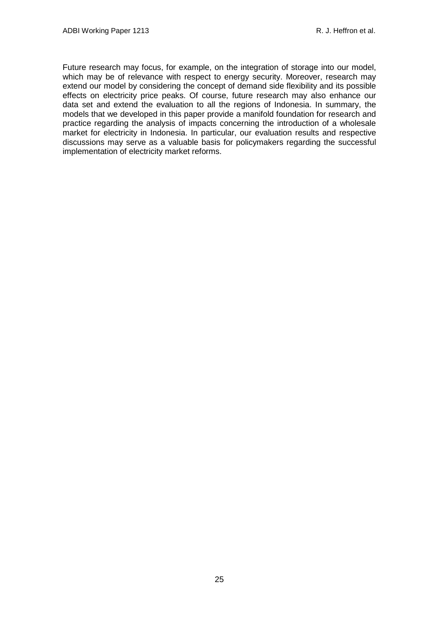Future research may focus, for example, on the integration of storage into our model, which may be of relevance with respect to energy security. Moreover, research may extend our model by considering the concept of demand side flexibility and its possible effects on electricity price peaks. Of course, future research may also enhance our data set and extend the evaluation to all the regions of Indonesia. In summary, the models that we developed in this paper provide a manifold foundation for research and practice regarding the analysis of impacts concerning the introduction of a wholesale market for electricity in Indonesia. In particular, our evaluation results and respective discussions may serve as a valuable basis for policymakers regarding the successful implementation of electricity market reforms.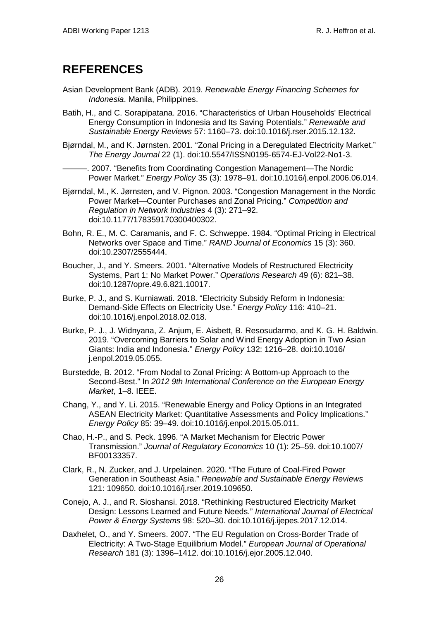# <span id="page-29-0"></span>**REFERENCES**

- Asian Development Bank (ADB). 2019. *Renewable Energy Financing Schemes for Indonesia*. Manila, Philippines.
- Batih, H., and C. Sorapipatana. 2016. "Characteristics of Urban Households' Electrical Energy Consumption in Indonesia and Its Saving Potentials." *Renewable and Sustainable Energy Reviews* 57: 1160–73. doi:10.1016/j.rser.2015.12.132.
- Bjørndal, M., and K. Jørnsten. 2001. "Zonal Pricing in a Deregulated Electricity Market." *The Energy Journal* 22 (1). doi:10.5547/ISSN0195-6574-EJ-Vol22-No1-3.

-. 2007. "Benefits from Coordinating Congestion Management—The Nordic Power Market." *Energy Policy* 35 (3): 1978–91. doi:10.1016/j.enpol.2006.06.014.

- Bjørndal, M., K. Jørnsten, and V. Pignon. 2003. "Congestion Management in the Nordic Power Market—Counter Purchases and Zonal Pricing." *Competition and Regulation in Network Industries* 4 (3): 271–92. doi:10.1177/178359170300400302.
- Bohn, R. E., M. C. Caramanis, and F. C. Schweppe. 1984. "Optimal Pricing in Electrical Networks over Space and Time." *RAND Journal of Economics* 15 (3): 360. doi:10.2307/2555444.
- Boucher, J., and Y. Smeers. 2001. "Alternative Models of Restructured Electricity Systems, Part 1: No Market Power." *Operations Research* 49 (6): 821–38. doi:10.1287/opre.49.6.821.10017.
- Burke, P. J., and S. Kurniawati. 2018. "Electricity Subsidy Reform in Indonesia: Demand-Side Effects on Electricity Use." *Energy Policy* 116: 410–21. doi:10.1016/j.enpol.2018.02.018.
- Burke, P. J., J. Widnyana, Z. Anjum, E. Aisbett, B. Resosudarmo, and K. G. H. Baldwin. 2019. "Overcoming Barriers to Solar and Wind Energy Adoption in Two Asian Giants: India and Indonesia." *Energy Policy* 132: 1216–28. doi:10.1016/ j.enpol.2019.05.055.
- Burstedde, B. 2012. "From Nodal to Zonal Pricing: A Bottom-up Approach to the Second-Best." In *2012 9th International Conference on the European Energy Market*, 1–8. IEEE.
- Chang, Y., and Y. Li. 2015. "Renewable Energy and Policy Options in an Integrated ASEAN Electricity Market: Quantitative Assessments and Policy Implications." *Energy Policy* 85: 39–49. doi:10.1016/j.enpol.2015.05.011.
- Chao, H.-P., and S. Peck. 1996. "A Market Mechanism for Electric Power Transmission." *Journal of Regulatory Economics* 10 (1): 25–59. doi:10.1007/ BF00133357.
- Clark, R., N. Zucker, and J. Urpelainen. 2020. "The Future of Coal-Fired Power Generation in Southeast Asia." *Renewable and Sustainable Energy Reviews* 121: 109650. doi:10.1016/j.rser.2019.109650.
- Conejo, A. J., and R. Sioshansi. 2018. "Rethinking Restructured Electricity Market Design: Lessons Learned and Future Needs." *International Journal of Electrical Power & Energy Systems* 98: 520–30. doi:10.1016/j.ijepes.2017.12.014.
- Daxhelet, O., and Y. Smeers. 2007. "The EU Regulation on Cross-Border Trade of Electricity: A Two-Stage Equilibrium Model." *European Journal of Operational Research* 181 (3): 1396–1412. doi:10.1016/j.ejor.2005.12.040.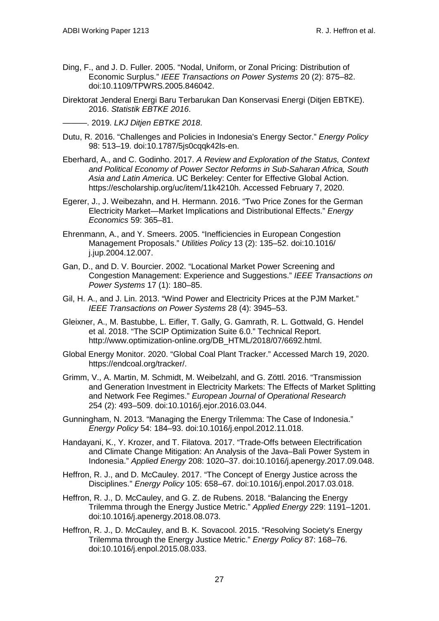- Ding, F., and J. D. Fuller. 2005. "Nodal, Uniform, or Zonal Pricing: Distribution of Economic Surplus." *IEEE Transactions on Power Systems* 20 (2): 875–82. doi:10.1109/TPWRS.2005.846042.
- Direktorat Jenderal Energi Baru Terbarukan Dan Konservasi Energi (Ditjen EBTKE). 2016. *Statistik EBTKE 2016*.

———. 2019. *LKJ Ditjen EBTKE 2018*.

- Dutu, R. 2016. "Challenges and Policies in Indonesia's Energy Sector." *Energy Policy* 98: 513–19. doi:10.1787/5js0cqqk42ls-en.
- Eberhard, A., and C. Godinho. 2017. *A Review and Exploration of the Status, Context and Political Economy of Power Sector Reforms in Sub-Saharan Africa, South Asia and Latin America*. UC Berkeley: Center for Effective Global Action. https://escholarship.org/uc/item/11k4210h. Accessed February 7, 2020.
- Egerer, J., J. Weibezahn, and H. Hermann. 2016. "Two Price Zones for the German Electricity Market—Market Implications and Distributional Effects." *Energy Economics* 59: 365–81.
- Ehrenmann, A., and Y. Smeers. 2005. "Inefficiencies in European Congestion Management Proposals." *Utilities Policy* 13 (2): 135–52. doi:10.1016/ j.jup.2004.12.007.
- Gan, D., and D. V. Bourcier. 2002. "Locational Market Power Screening and Congestion Management: Experience and Suggestions." *IEEE Transactions on Power Systems* 17 (1): 180–85.
- Gil, H. A., and J. Lin. 2013. "Wind Power and Electricity Prices at the PJM Market." *IEEE Transactions on Power Systems* 28 (4): 3945–53.
- Gleixner, A., M. Bastubbe, L. Eifler, T. Gally, G. Gamrath, R. L. Gottwald, G. Hendel et al. 2018. "The SCIP Optimization Suite 6.0." Technical Report. http://www.optimization-online.org/DB\_HTML/2018/07/6692.html.
- Global Energy Monitor. 2020. "Global Coal Plant Tracker." Accessed March 19, 2020. https://endcoal.org/tracker/.
- Grimm, V., A. Martin, M. Schmidt, M. Weibelzahl, and G. Zöttl. 2016. "Transmission and Generation Investment in Electricity Markets: The Effects of Market Splitting and Network Fee Regimes." *European Journal of Operational Research* 254 (2): 493–509. doi:10.1016/j.ejor.2016.03.044.
- Gunningham, N. 2013. "Managing the Energy Trilemma: The Case of Indonesia." *Energy Policy* 54: 184–93. doi:10.1016/j.enpol.2012.11.018.
- Handayani, K., Y. Krozer, and T. Filatova. 2017. "Trade-Offs between Electrification and Climate Change Mitigation: An Analysis of the Java–Bali Power System in Indonesia." *Applied Energy* 208: 1020–37. doi:10.1016/j.apenergy.2017.09.048.
- Heffron, R. J., and D. McCauley. 2017. "The Concept of Energy Justice across the Disciplines." *Energy Policy* 105: 658–67. doi:10.1016/j.enpol.2017.03.018.
- Heffron, R. J., D. McCauley, and G. Z. de Rubens. 2018. "Balancing the Energy Trilemma through the Energy Justice Metric." *Applied Energy* 229: 1191–1201. doi:10.1016/j.apenergy.2018.08.073.
- Heffron, R. J., D. McCauley, and B. K. Sovacool. 2015. "Resolving Society's Energy Trilemma through the Energy Justice Metric." *Energy Policy* 87: 168–76. doi:10.1016/j.enpol.2015.08.033.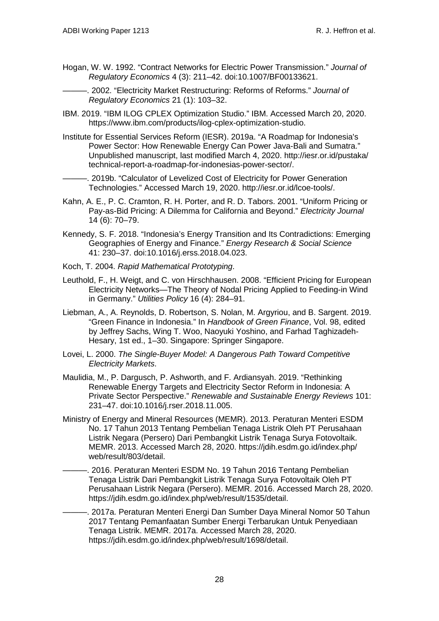- Hogan, W. W. 1992. "Contract Networks for Electric Power Transmission." *Journal of Regulatory Economics* 4 (3): 211–42. doi:10.1007/BF00133621.
	- ———. 2002. "Electricity Market Restructuring: Reforms of Reforms." *Journal of Regulatory Economics* 21 (1): 103–32.
- IBM. 2019. "IBM ILOG CPLEX Optimization Studio." IBM. Accessed March 20, 2020. https://www.ibm.com/products/ilog-cplex-optimization-studio.
- Institute for Essential Services Reform (IESR). 2019a. "A Roadmap for Indonesia's Power Sector: How Renewable Energy Can Power Java-Bali and Sumatra." Unpublished manuscript, last modified March 4, 2020. http://iesr.or.id/pustaka/ technical-report-a-roadmap-for-indonesias-power-sector/.
	- -. 2019b. "Calculator of Levelized Cost of Electricity for Power Generation Technologies." Accessed March 19, 2020. http://iesr.or.id/lcoe-tools/.
- Kahn, A. E., P. C. Cramton, R. H. Porter, and R. D. Tabors. 2001. "Uniform Pricing or Pay-as-Bid Pricing: A Dilemma for California and Beyond." *Electricity Journal* 14 (6): 70–79.
- Kennedy, S. F. 2018. "Indonesia's Energy Transition and Its Contradictions: Emerging Geographies of Energy and Finance." *Energy Research & Social Science* 41: 230–37. doi:10.1016/j.erss.2018.04.023.
- Koch, T. 2004. *Rapid Mathematical Prototyping*.
- Leuthold, F., H. Weigt, and C. von Hirschhausen. 2008. "Efficient Pricing for European Electricity Networks—The Theory of Nodal Pricing Applied to Feeding-in Wind in Germany." *Utilities Policy* 16 (4): 284–91.
- Liebman, A., A. Reynolds, D. Robertson, S. Nolan, M. Argyriou, and B. Sargent. 2019. "Green Finance in Indonesia." In *Handbook of Green Finance*, Vol. 98, edited by Jeffrey Sachs, Wing T. Woo, Naoyuki Yoshino, and Farhad Taghizadeh-Hesary, 1st ed., 1–30. Singapore: Springer Singapore.
- Lovei, L. 2000. *The Single-Buyer Model: A Dangerous Path Toward Competitive Electricity Markets*.
- Maulidia, M., P. Dargusch, P. Ashworth, and F. Ardiansyah. 2019. "Rethinking Renewable Energy Targets and Electricity Sector Reform in Indonesia: A Private Sector Perspective." *Renewable and Sustainable Energy Reviews* 101: 231–47. doi:10.1016/j.rser.2018.11.005.
- Ministry of Energy and Mineral Resources (MEMR). 2013. Peraturan Menteri ESDM No. 17 Tahun 2013 Tentang Pembelian Tenaga Listrik Oleh PT Perusahaan Listrik Negara (Persero) Dari Pembangkit Listrik Tenaga Surya Fotovoltaik. MEMR. 2013. Accessed March 28, 2020. https://jdih.esdm.go.id/index.php/ web/result/803/detail.
	- . 2016. Peraturan Menteri ESDM No. 19 Tahun 2016 Tentang Pembelian Tenaga Listrik Dari Pembangkit Listrik Tenaga Surya Fotovoltaik Oleh PT Perusahaan Listrik Negara (Persero). MEMR. 2016. Accessed March 28, 2020. https://jdih.esdm.go.id/index.php/web/result/1535/detail.
	- . 2017a. Peraturan Menteri Energi Dan Sumber Daya Mineral Nomor 50 Tahun 2017 Tentang Pemanfaatan Sumber Energi Terbarukan Untuk Penyediaan Tenaga Listrik. MEMR. 2017a. Accessed March 28, 2020. https://jdih.esdm.go.id/index.php/web/result/1698/detail.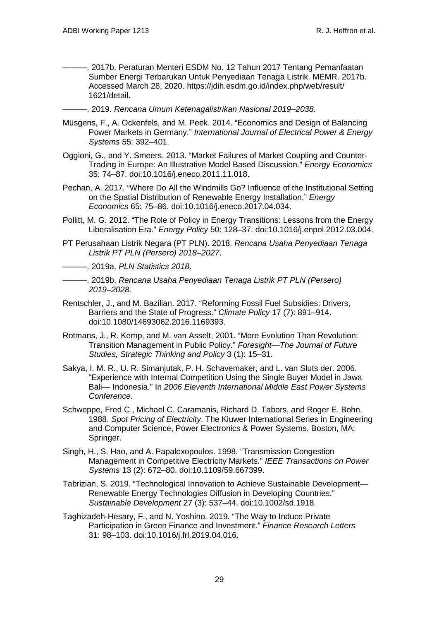- ———. 2017b. Peraturan Menteri ESDM No. 12 Tahun 2017 Tentang Pemanfaatan Sumber Energi Terbarukan Untuk Penyediaan Tenaga Listrik. MEMR. 2017b. Accessed March 28, 2020. https://jdih.esdm.go.id/index.php/web/result/ 1621/detail.
- ———. 2019. *Rencana Umum Ketenagalistrikan Nasional 2019–2038*.
- Müsgens, F., A. Ockenfels, and M. Peek. 2014. "Economics and Design of Balancing Power Markets in Germany." *International Journal of Electrical Power & Energy Systems* 55: 392–401.
- Oggioni, G., and Y. Smeers. 2013. "Market Failures of Market Coupling and Counter-Trading in Europe: An Illustrative Model Based Discussion." *Energy Economics* 35: 74–87. doi:10.1016/j.eneco.2011.11.018.
- Pechan, A. 2017. "Where Do All the Windmills Go? Influence of the Institutional Setting on the Spatial Distribution of Renewable Energy Installation." *Energy Economics* 65: 75–86. doi:10.1016/j.eneco.2017.04.034.
- Pollitt, M. G. 2012. "The Role of Policy in Energy Transitions: Lessons from the Energy Liberalisation Era." *Energy Policy* 50: 128–37. doi:10.1016/j.enpol.2012.03.004.
- PT Perusahaan Listrik Negara (PT PLN). 2018. *Rencana Usaha Penyediaan Tenaga Listrik PT PLN (Persero) 2018–2027*.

———. 2019a. *PLN Statistics 2018*.

- ———. 2019b. *Rencana Usaha Penyediaan Tenaga Listrik PT PLN (Persero) 2019–2028*.
- Rentschler, J., and M. Bazilian. 2017. "Reforming Fossil Fuel Subsidies: Drivers, Barriers and the State of Progress." *Climate Policy* 17 (7): 891–914. doi:10.1080/14693062.2016.1169393.
- Rotmans, J., R. Kemp, and M. van Asselt. 2001. "More Evolution Than Revolution: Transition Management in Public Policy." *Foresight—The Journal of Future Studies, Strategic Thinking and Policy* 3 (1): 15–31.
- Sakya, I. M. R., U. R. Simanjutak, P. H. Schavemaker, and L. van Sluts der. 2006. "Experience with Internal Competition Using the Single Buyer Model in Jawa Bali— Indonesia." In *2006 Eleventh International Middle East Power Systems Conference*.
- Schweppe, Fred C., Michael C. Caramanis, Richard D. Tabors, and Roger E. Bohn. 1988. *Spot Pricing of Electricity*. The Kluwer International Series in Engineering and Computer Science, Power Electronics & Power Systems. Boston, MA: Springer.
- Singh, H., S. Hao, and A. Papalexopoulos. 1998. "Transmission Congestion Management in Competitive Electricity Markets." *IEEE Transactions on Power Systems* 13 (2): 672–80. doi:10.1109/59.667399.
- Tabrizian, S. 2019. "Technological Innovation to Achieve Sustainable Development— Renewable Energy Technologies Diffusion in Developing Countries." *Sustainable Development* 27 (3): 537–44. doi:10.1002/sd.1918.
- Taghizadeh-Hesary, F., and N. Yoshino. 2019. "The Way to Induce Private Participation in Green Finance and Investment." *Finance Research Letters* 31: 98–103. doi:10.1016/j.frl.2019.04.016.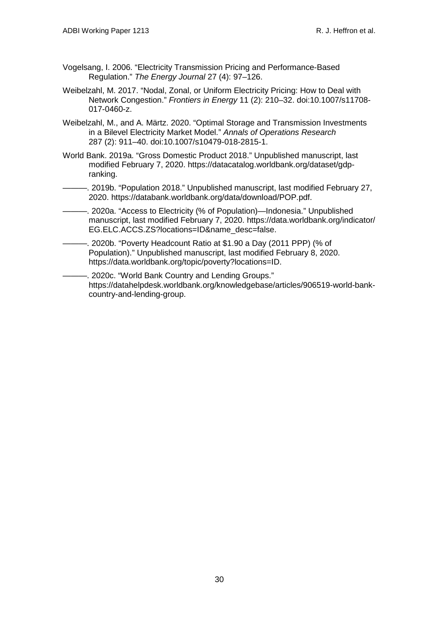- Vogelsang, I. 2006. "Electricity Transmission Pricing and Performance-Based Regulation." *The Energy Journal* 27 (4): 97–126.
- Weibelzahl, M. 2017. "Nodal, Zonal, or Uniform Electricity Pricing: How to Deal with Network Congestion." *Frontiers in Energy* 11 (2): 210–32. doi:10.1007/s11708- 017-0460-z.
- Weibelzahl, M., and A. Märtz. 2020. "Optimal Storage and Transmission Investments in a Bilevel Electricity Market Model." *Annals of Operations Research* 287 (2): 911–40. doi:10.1007/s10479-018-2815-1.
- World Bank. 2019a. "Gross Domestic Product 2018." Unpublished manuscript, last modified February 7, 2020. https://datacatalog.worldbank.org/dataset/gdpranking.
- ———. 2019b. "Population 2018." Unpublished manuscript, last modified February 27, 2020. https://databank.worldbank.org/data/download/POP.pdf.
- ———. 2020a. "Access to Electricity (% of Population)—Indonesia." Unpublished manuscript, last modified February 7, 2020. https://data.worldbank.org/indicator/ EG.ELC.ACCS.ZS?locations=ID&name\_desc=false.
- -. 2020b. "Poverty Headcount Ratio at \$1.90 a Day (2011 PPP) (% of Population)." Unpublished manuscript, last modified February 8, 2020. https://data.worldbank.org/topic/poverty?locations=ID.

. 2020c. "World Bank Country and Lending Groups." https://datahelpdesk.worldbank.org/knowledgebase/articles/906519-world-bankcountry-and-lending-group.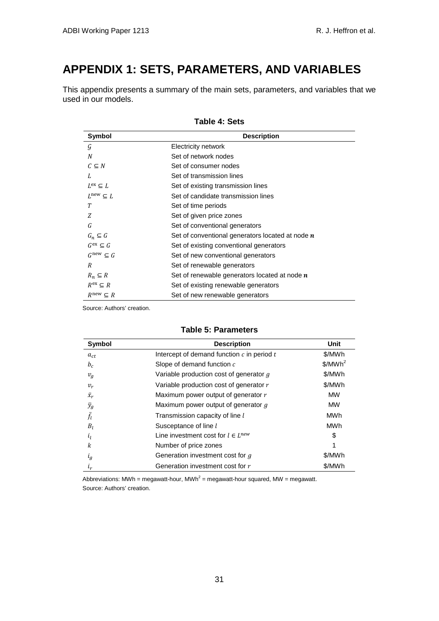# <span id="page-34-0"></span>**APPENDIX 1: SETS, PARAMETERS, AND VARIABLES**

<span id="page-34-1"></span>This appendix presents a summary of the main sets, parameters, and variables that we used in our models.

| Symbol                       | <b>Description</b>                                 |
|------------------------------|----------------------------------------------------|
| Ģ                            | Electricity network                                |
| N                            | Set of network nodes                               |
| $C \subseteq N$              | Set of consumer nodes                              |
| L                            | Set of transmission lines                          |
| $L^{ex} \subseteq L$         | Set of existing transmission lines                 |
| $L^{\text{new}} \subseteq L$ | Set of candidate transmission lines                |
| Т                            | Set of time periods                                |
| Z                            | Set of given price zones                           |
| G                            | Set of conventional generators                     |
| $G_n \subseteq G$            | Set of conventional generators located at node $n$ |
| $G^{ex} \subseteq G$         | Set of existing conventional generators            |
| $G^{\text{new}} \subseteq G$ | Set of new conventional generators                 |
| R                            | Set of renewable generators                        |
| $R_n \subseteq R$            | Set of renewable generators located at node $n$    |
| $R^{ex} \subset R$           | Set of existing renewable generators               |
| $R^{\text{new}} \subseteq R$ | Set of new renewable generators                    |

**Table 4: Sets**

<span id="page-34-2"></span>Source: Authors' creation.

#### **Table 5: Parameters**

| Symbol         | <b>Description</b>                             | Unit                |
|----------------|------------------------------------------------|---------------------|
| $a_{ct}$       | Intercept of demand function $c$ in period $t$ | \$/MWh              |
| $b_c$          | Slope of demand function c                     | \$/MWh <sup>2</sup> |
| $v_g$          | Variable production cost of generator g        | \$/MWh              |
| $v_r$          | Variable production cost of generator r        | \$/MWh              |
| $\bar{x}_r$    | Maximum power output of generator r            | <b>MW</b>           |
| $\bar{y}_g$    | Maximum power output of generator g            | <b>MW</b>           |
| Ŧī.            | Transmission capacity of line l                | MWh                 |
| $B_l$          | Susceptance of line l                          | MWh                 |
| l <sub>I</sub> | Line investment cost for $l \in L^{new}$       | S                   |
| k              | Number of price zones                          | 1                   |
| $l_g$          | Generation investment cost for g               | \$/MWh              |
| $l_{r}$        | Generation investment cost for r               | \$/MWh              |

Abbreviations: MWh = megawatt-hour, MWh<sup>2</sup> = megawatt-hour squared, MW = megawatt. Source: Authors' creation.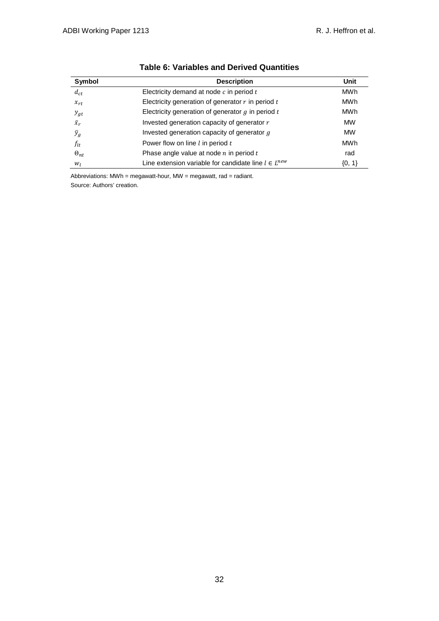<span id="page-35-0"></span>

| Symbol        | <b>Description</b>                                         | Unit      |
|---------------|------------------------------------------------------------|-----------|
| $d_{ct}$      | Electricity demand at node $c$ in period $t$               | MWh       |
| $x_{rt}$      | Electricity generation of generator $r$ in period $t$      | MWh       |
| $y_{gt}$      | Electricity generation of generator $g$ in period $t$      | MWh       |
| $\bar{x}_r$   | Invested generation capacity of generator r                | <b>MW</b> |
| $\bar{y}_g$   | Invested generation capacity of generator $q$              | <b>MW</b> |
| $f_{lt}$      | Power flow on line $l$ in period $t$                       | MWh       |
| $\Theta_{nt}$ | Phase angle value at node $n$ in period $t$                | rad       |
| $W_l$         | Line extension variable for candidate line $l \in L^{new}$ | ${0, 1}$  |

### **Table 6: Variables and Derived Quantities**

Abbreviations:  $MWh = megawatt-hour$ ,  $MW = megawatt$ , rad = radiant. Source: Authors' creation.

32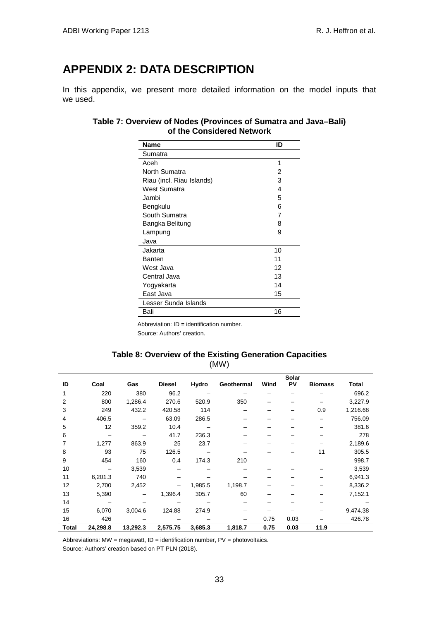# <span id="page-36-0"></span>**APPENDIX 2: DATA DESCRIPTION**

In this appendix, we present more detailed information on the model inputs that we used.

### **Table 7: Overview of Nodes (Provinces of Sumatra and Java–Bali) of the Considered Network**

| Name                      | ID |
|---------------------------|----|
| Sumatra                   |    |
| Aceh                      | 1  |
| North Sumatra             | 2  |
| Riau (incl. Riau Islands) | 3  |
| West Sumatra              | 4  |
| Jambi                     | 5  |
| Bengkulu                  | 6  |
| South Sumatra             | 7  |
| Bangka Belitung           | 8  |
| Lampung                   | 9  |
| Java                      |    |
| Jakarta                   | 10 |
| <b>Banten</b>             | 11 |
| West Java                 | 12 |
| Central Java              | 13 |
| Yogyakarta                | 14 |
| East Java                 | 15 |
| Lesser Sunda Islands      |    |
| Bali                      | 16 |

Abbreviation:  $ID =$  identification number. Source: Authors' creation.

#### **Table 8: Overview of the Existing Generation Capacities**  (MW)

<span id="page-36-1"></span>

|              |          |          |               |              |            |      | Solar |                |              |
|--------------|----------|----------|---------------|--------------|------------|------|-------|----------------|--------------|
| ID           | Coal     | Gas      | <b>Diesel</b> | <b>Hydro</b> | Geothermal | Wind | PV    | <b>Biomass</b> | <b>Total</b> |
|              | 220      | 380      | 96.2          |              |            |      |       |                | 696.2        |
| 2            | 800      | 1,286.4  | 270.6         | 520.9        | 350        |      |       |                | 3,227.9      |
| 3            | 249      | 432.2    | 420.58        | 114          |            |      |       | 0.9            | 1,216.68     |
| 4            | 406.5    |          | 63.09         | 286.5        |            |      |       |                | 756.09       |
| 5            | 12       | 359.2    | 10.4          |              |            |      |       |                | 381.6        |
| 6            |          |          | 41.7          | 236.3        |            |      |       |                | 278          |
| 7            | 1,277    | 863.9    | 25            | 23.7         |            |      |       |                | 2,189.6      |
| 8            | 93       | 75       | 126.5         |              |            |      |       | 11             | 305.5        |
| 9            | 454      | 160      | 0.4           | 174.3        | 210        |      |       |                | 998.7        |
| 10           |          | 3,539    |               |              |            |      |       |                | 3,539        |
| 11           | 6,201.3  | 740      |               |              |            |      |       |                | 6,941.3      |
| 12           | 2,700    | 2,452    |               | 1,985.5      | 1,198.7    |      |       |                | 8,336.2      |
| 13           | 5,390    |          | 1,396.4       | 305.7        | 60         |      |       |                | 7,152.1      |
| 14           |          |          |               |              |            |      |       |                |              |
| 15           | 6,070    | 3,004.6  | 124.88        | 274.9        |            |      |       |                | 9,474.38     |
| 16           | 426      |          |               |              |            | 0.75 | 0.03  |                | 426.78       |
| <b>Total</b> | 24,298.8 | 13,292.3 | 2,575.75      | 3,685.3      | 1,818.7    | 0.75 | 0.03  | 11.9           |              |

Abbreviations:  $MW = megawatt$ ,  $ID = identification number$ ,  $PV = photovoltaics$ .

Source: Authors' creation based on PT PLN (2018).